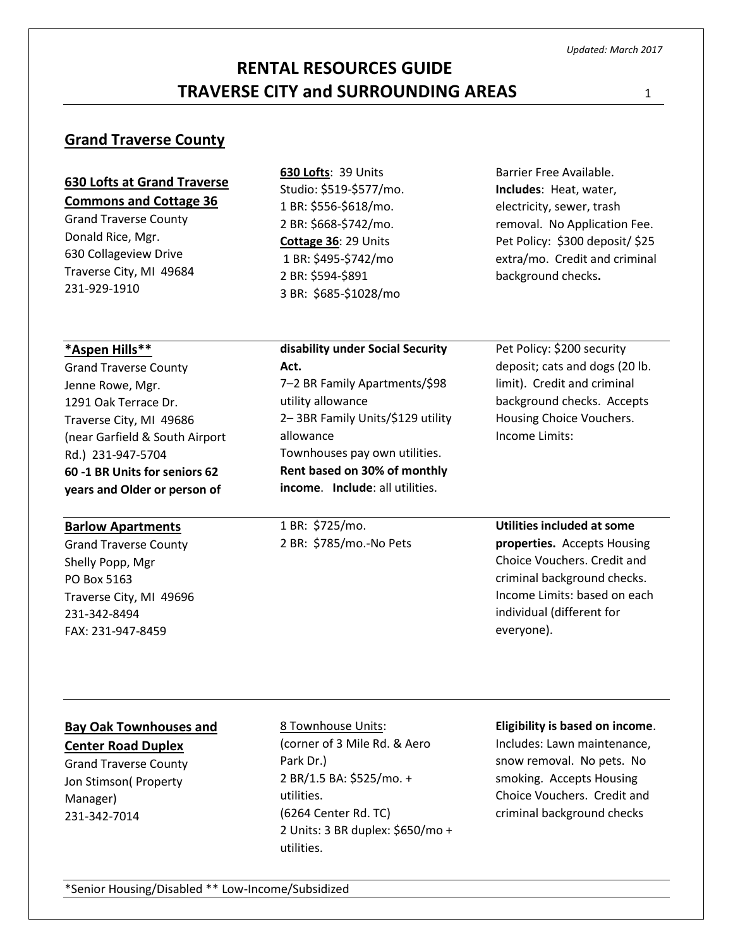# **RENTAL RESOURCES GUIDE TRAVERSE CITY and SURROUNDING AREAS** <sup>1</sup>

## **Grand Traverse County**

| <b>630 Lofts at Grand Traverse</b> |
|------------------------------------|
| <b>Commons and Cottage 36</b>      |

Grand Traverse County Donald Rice, Mgr. 630 Collageview Drive Traverse City, MI 49684 231-929-1910

Studio: \$519-\$577/mo. 1 BR: \$556-\$618/mo. 2 BR: \$668-\$742/mo. **Cottage 36**: 29 Units 1 BR: \$495-\$742/mo 2 BR: \$594-\$891 3 BR: \$685-\$1028/mo

**630 Lofts**: 39 Units

Barrier Free Available. **Includes**: Heat, water, electricity, sewer, trash removal. No Application Fee. Pet Policy: \$300 deposit/ \$25 extra/mo. Credit and criminal background checks**.** 

| *Aspen Hills**                 | disability under Social Security       | Pet Policy: \$200 security     |
|--------------------------------|----------------------------------------|--------------------------------|
| <b>Grand Traverse County</b>   | Act.                                   | deposit; cats and dogs (20 lb. |
| Jenne Rowe, Mgr.               | 7-2 BR Family Apartments/\$98          | limit). Credit and criminal    |
| 1291 Oak Terrace Dr.           | utility allowance                      | background checks. Accepts     |
| Traverse City, MI 49686        | 2-3BR Family Units/\$129 utility       | Housing Choice Vouchers.       |
| (near Garfield & South Airport | allowance                              | Income Limits:                 |
| Rd.) 231-947-5704              | Townhouses pay own utilities.          |                                |
| 60 -1 BR Units for seniors 62  | Rent based on 30% of monthly           |                                |
| years and Older or person of   | <b>income.</b> Include: all utilities. |                                |
| <b>Barlow Apartments</b>       | 1 BR: \$725/mo.                        | Utilities included at some     |

Grand Traverse County Shelly Popp, Mgr PO Box 5163 Traverse City, MI 49696 231-342-8494 FAX: 231-947-8459

1 BR: \$725/mo. 2 BR: \$785/mo.-No Pets

**properties.** Accepts Housing Choice Vouchers. Credit and

criminal background checks. Income Limits: based on each individual (different for everyone).

# **Bay Oak Townhouses and**

**Center Road Duplex** Grand Traverse County Jon Stimson( Property Manager) 231-342-7014

8 Townhouse Units: (corner of 3 Mile Rd. & Aero Park Dr.) 2 BR/1.5 BA: \$525/mo. + utilities. (6264 Center Rd. TC) 2 Units: 3 BR duplex: \$650/mo + utilities.

#### **Eligibility is based on income**.

Includes: Lawn maintenance, snow removal. No pets. No smoking. Accepts Housing Choice Vouchers. Credit and criminal background checks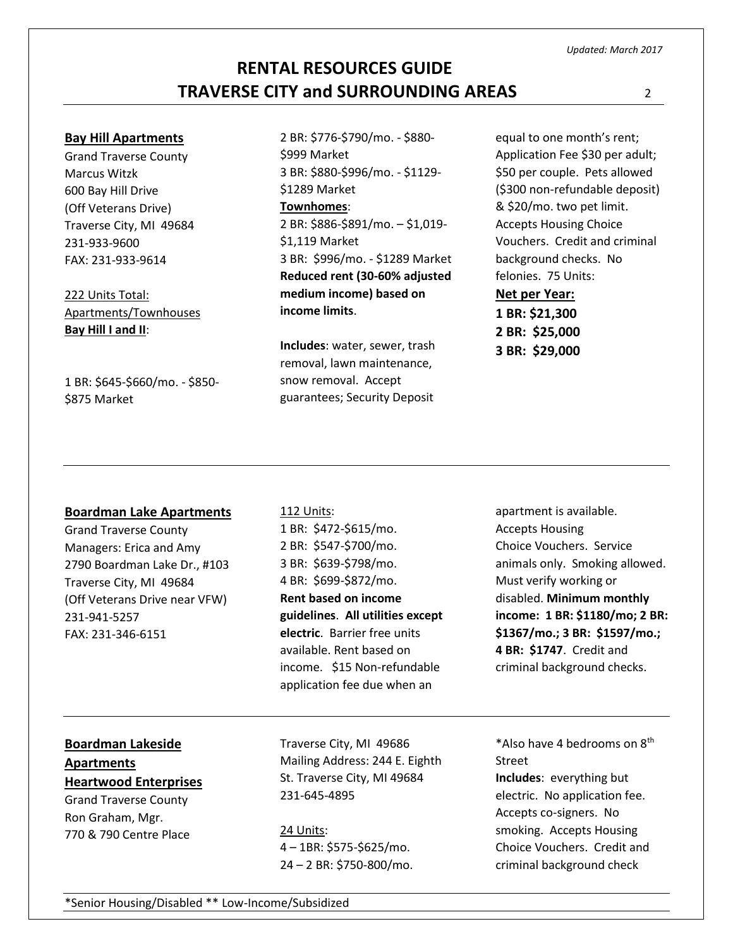#### **Bay Hill Apartments**

Grand Traverse County Marcus Witzk 600 Bay Hill Drive (Off Veterans Drive) Traverse City, MI 49684 231-933-9600 FAX: 231-933-9614

222 Units Total: Apartments/Townhouses **Bay Hill I and II**:

1 BR: \$645-\$660/mo. - \$850- \$875 Market

2 BR: \$776-\$790/mo. - \$880- \$999 Market 3 BR: \$880-\$996/mo. - \$1129- \$1289 Market **Townhomes**: 2 BR: \$886-\$891/mo. – \$1,019- \$1,119 Market 3 BR: \$996/mo. - \$1289 Market **Reduced rent (30-60% adjusted medium income) based on income limits**.

**Includes**: water, sewer, trash removal, lawn maintenance, snow removal. Accept guarantees; Security Deposit

equal to one month's rent; Application Fee \$30 per adult; \$50 per couple. Pets allowed (\$300 non-refundable deposit) & \$20/mo. two pet limit. Accepts Housing Choice Vouchers. Credit and criminal background checks. No felonies. 75 Units:

**Net per Year: 1 BR: \$21,300 2 BR: \$25,000 3 BR: \$29,000**

### **Boardman Lake Apartments**

Grand Traverse County Managers: Erica and Amy 2790 Boardman Lake Dr., #103 Traverse City, MI 49684 (Off Veterans Drive near VFW) 231-941-5257 FAX: 231-346-6151

112 Units: 1 BR: \$472-\$615/mo. 2 BR: \$547-\$700/mo. 3 BR: \$639-\$798/mo. 4 BR: \$699-\$872/mo. **Rent based on income guidelines**. **All utilities except electric**. Barrier free units available. Rent based on income. \$15 Non-refundable application fee due when an

apartment is available. Accepts Housing Choice Vouchers. Service animals only. Smoking allowed. Must verify working or disabled. **Minimum monthly income: 1 BR: \$1180/mo; 2 BR: \$1367/mo.; 3 BR: \$1597/mo.; 4 BR: \$1747**. Credit and criminal background checks.

# **Boardman Lakeside Apartments**

**Heartwood Enterprises** Grand Traverse County Ron Graham, Mgr.

770 & 790 Centre Place

Traverse City, MI 49686 Mailing Address: 244 E. Eighth St. Traverse City, MI 49684 231-645-4895

24 Units: 4 – 1BR: \$575-\$625/mo. 24 – 2 BR: \$750-800/mo.

\*Also have 4 bedrooms on 8th Street **Includes**: everything but electric. No application fee. Accepts co-signers. No smoking. Accepts Housing Choice Vouchers. Credit and criminal background check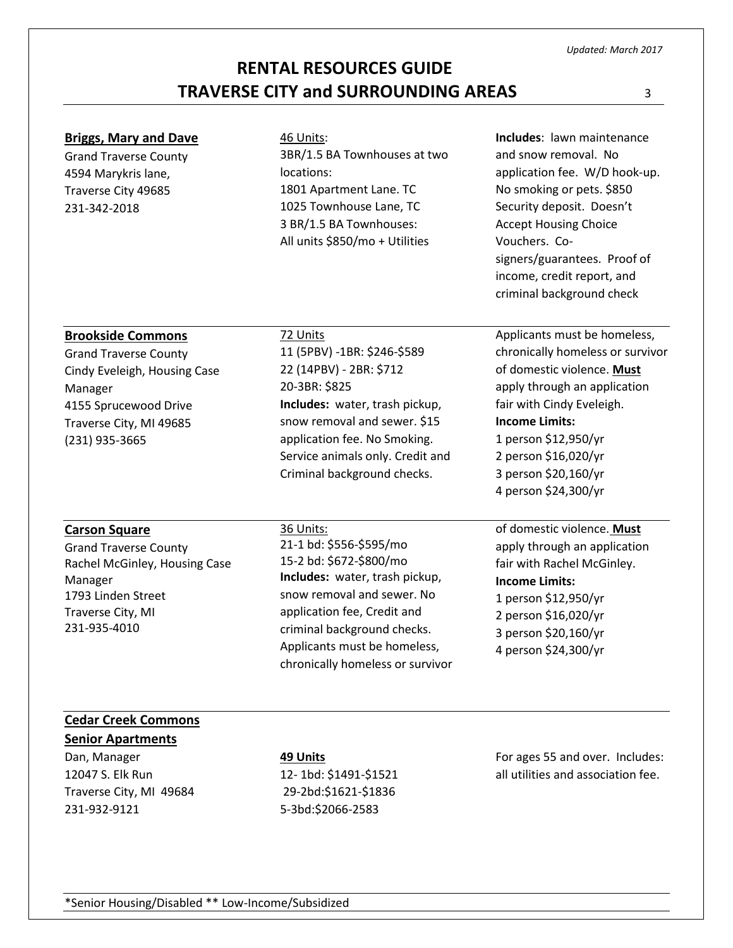\*Senior Housing/Disabled \*\* Low-Income/Subsidized

# **RENTAL RESOURCES GUIDE TRAVERSE CITY and SURROUNDING AREAS** <sup>3</sup>

| <b>Briggs, Mary and Dave</b><br><b>Grand Traverse County</b><br>4594 Marykris lane,<br>Traverse City 49685<br>231-342-2018                                                | 46 Units:<br>3BR/1.5 BA Townhouses at two<br>locations:<br>1801 Apartment Lane. TC<br>1025 Townhouse Lane, TC<br>3 BR/1.5 BA Townhouses:<br>All units \$850/mo + Utilities                                                                                        | Includes: lawn maintenance<br>and snow removal. No<br>application fee. W/D hook-up.<br>No smoking or pets. \$850<br>Security deposit. Doesn't<br><b>Accept Housing Choice</b><br>Vouchers. Co-<br>signers/guarantees. Proof of<br>income, credit report, and<br>criminal background check |
|---------------------------------------------------------------------------------------------------------------------------------------------------------------------------|-------------------------------------------------------------------------------------------------------------------------------------------------------------------------------------------------------------------------------------------------------------------|-------------------------------------------------------------------------------------------------------------------------------------------------------------------------------------------------------------------------------------------------------------------------------------------|
| <b>Brookside Commons</b><br><b>Grand Traverse County</b><br>Cindy Eveleigh, Housing Case<br>Manager<br>4155 Sprucewood Drive<br>Traverse City, MI 49685<br>(231) 935-3665 | 72 Units<br>11 (5PBV) -1BR: \$246-\$589<br>22 (14PBV) - 2BR: \$712<br>20-3BR: \$825<br>Includes: water, trash pickup,<br>snow removal and sewer. \$15<br>application fee. No Smoking.<br>Service animals only. Credit and<br>Criminal background checks.          | Applicants must be homeless,<br>chronically homeless or survivor<br>of domestic violence. Must<br>apply through an application<br>fair with Cindy Eveleigh.<br><b>Income Limits:</b><br>1 person \$12,950/yr<br>2 person \$16,020/yr<br>3 person \$20,160/yr<br>4 person \$24,300/yr      |
| <b>Carson Square</b><br><b>Grand Traverse County</b><br>Rachel McGinley, Housing Case<br>Manager<br>1793 Linden Street<br>Traverse City, MI<br>231-935-4010               | 36 Units:<br>21-1 bd: \$556-\$595/mo<br>15-2 bd: \$672-\$800/mo<br>Includes: water, trash pickup,<br>snow removal and sewer. No<br>application fee, Credit and<br>criminal background checks.<br>Applicants must be homeless,<br>chronically homeless or survivor | of domestic violence. Must<br>apply through an application<br>fair with Rachel McGinley.<br><b>Income Limits:</b><br>1 person \$12,950/yr<br>2 person \$16,020/yr<br>3 person \$20,160/yr<br>4 person \$24,300/yr                                                                         |
| <b>Cedar Creek Commons</b><br><b>Senior Apartments</b>                                                                                                                    |                                                                                                                                                                                                                                                                   |                                                                                                                                                                                                                                                                                           |

### Dan, Manager 12047 S. Elk Run Traverse City, MI 49684 231-932-9121

**49 Units** 12- 1bd: \$1491-\$1521 29-2bd:\$1621-\$1836 5-3bd:\$2066-2583

For ages 55 and over. Includes: all utilities and association fee.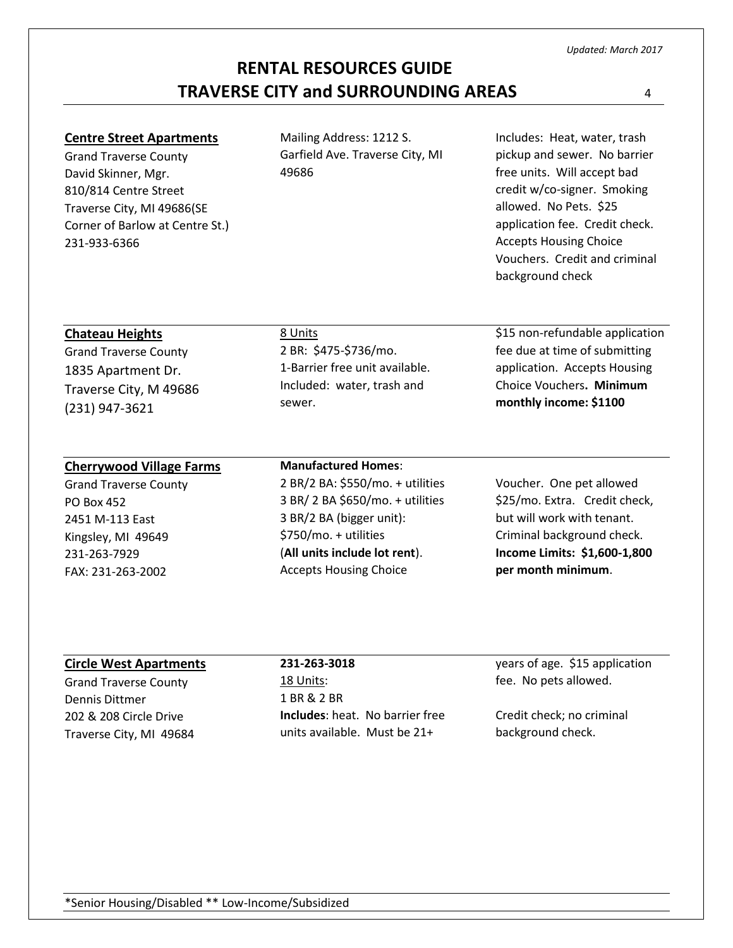\*Senior Housing/Disabled \*\* Low-Income/Subsidized

# **RENTAL RESOURCES GUIDE TRAVERSE CITY and SURROUNDING AREAS** <sup>4</sup>

### **Centre Street Apartments**

Grand Traverse County David Skinner, Mgr. 810/814 Centre Street Traverse City, MI 49686(SE Corner of Barlow at Centre St.) 231-933-6366

Mailing Address: 1212 S. Garfield Ave. Traverse City, MI 49686

Includes: Heat, water, trash pickup and sewer. No barrier free units. Will accept bad credit w/co-signer. Smoking allowed. No Pets. \$25 application fee. Credit check. Accepts Housing Choice Vouchers. Credit and criminal background check

\$15 non-refundable application fee due at time of submitting application. Accepts Housing Choice Vouchers**. Minimum monthly income: \$1100**

### **Chateau Heights**

Grand Traverse County 1835 Apartment Dr. Traverse City, M 49686 (231) 947-3621

### **Cherrywood Village Farms**

Grand Traverse County PO Box 452 2451 M-113 East Kingsley, MI 49649 231-263-7929 FAX: 231-263-2002

# Included: water, trash and sewer. **Manufactured Homes**:

1-Barrier free unit available.

2 BR: \$475-\$736/mo.

8 Units

2 BR/2 BA: \$550/mo. + utilities 3 BR/ 2 BA \$650/mo. + utilities 3 BR/2 BA (bigger unit): \$750/mo. + utilities (**All units include lot rent**). Accepts Housing Choice

Voucher. One pet allowed \$25/mo. Extra. Credit check, but will work with tenant. Criminal background check. **Income Limits: \$1,600-1,800** 

**per month minimum**.

### **Circle West Apartments**

Grand Traverse County Dennis Dittmer 202 & 208 Circle Drive Traverse City, MI 49684

**231-263-3018** 18 Units: 1 BR & 2 BR **Includes**: heat. No barrier free units available. Must be 21+

years of age. \$15 application fee. No pets allowed.

Credit check; no criminal background check.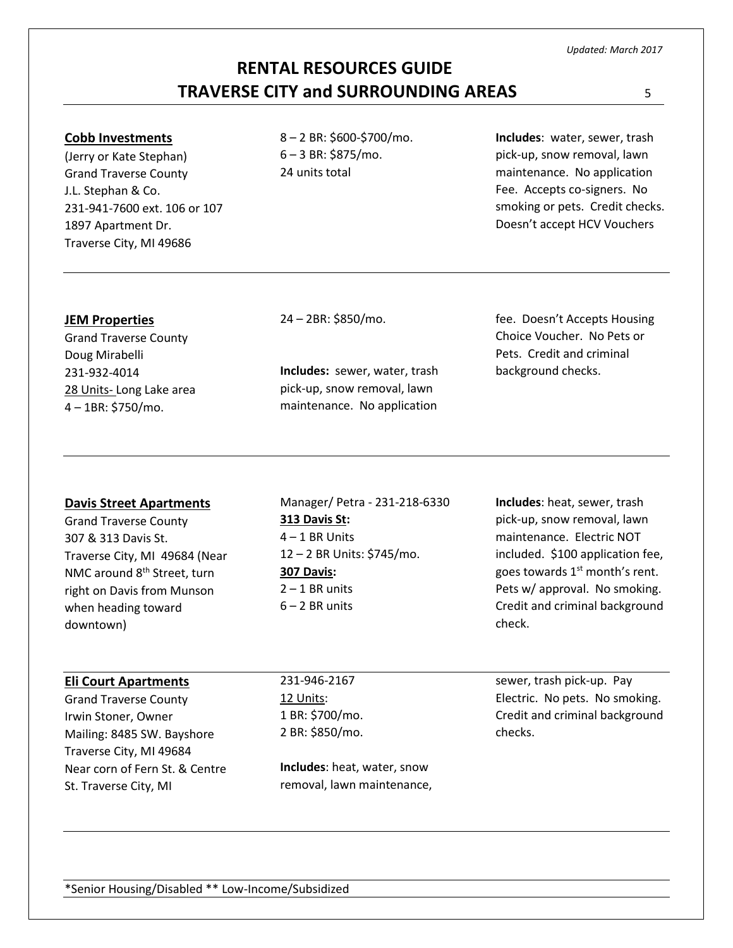#### **Cobb Investments**

(Jerry or Kate Stephan) Grand Traverse County J.L. Stephan & Co. 231-941-7600 ext. 106 or 107 1897 Apartment Dr. Traverse City, MI 49686

8 – 2 BR: \$600-\$700/mo. 6 – 3 BR: \$875/mo. 24 units total

**Includes**: water, sewer, trash pick-up, snow removal, lawn maintenance. No application Fee. Accepts co-signers. No smoking or pets. Credit checks. Doesn't accept HCV Vouchers

#### **JEM Properties**

Grand Traverse County Doug Mirabelli 231-932-4014 28 Units- Long Lake area 4 – 1BR: \$750/mo.

24 – 2BR: \$850/mo.

**Includes:** sewer, water, trash pick-up, snow removal, lawn maintenance. No application

fee. Doesn't Accepts Housing Choice Voucher. No Pets or Pets. Credit and criminal background checks.

#### **Davis Street Apartments**

Grand Traverse County 307 & 313 Davis St. Traverse City, MI 49684 (Near NMC around 8th Street, turn right on Davis from Munson when heading toward downtown)

Manager/ Petra - 231-218-6330 **313 Davis St:** 4 – 1 BR Units 12 – 2 BR Units: \$745/mo. **307 Davis:**  $2 - 1$  BR units  $6 - 2$  BR units

**Includes**: heat, sewer, trash pick-up, snow removal, lawn maintenance. Electric NOT included. \$100 application fee, goes towards  $1<sup>st</sup>$  month's rent. Pets w/ approval. No smoking. Credit and criminal background check.

#### **Eli Court Apartments**

Grand Traverse County Irwin Stoner, Owner Mailing: 8485 SW. Bayshore Traverse City, MI 49684 Near corn of Fern St. & Centre St. Traverse City, MI

231-946-2167 12 Units: 1 BR: \$700/mo. 2 BR: \$850/mo.

**Includes**: heat, water, snow removal, lawn maintenance, sewer, trash pick-up. Pay Electric. No pets. No smoking. Credit and criminal background checks.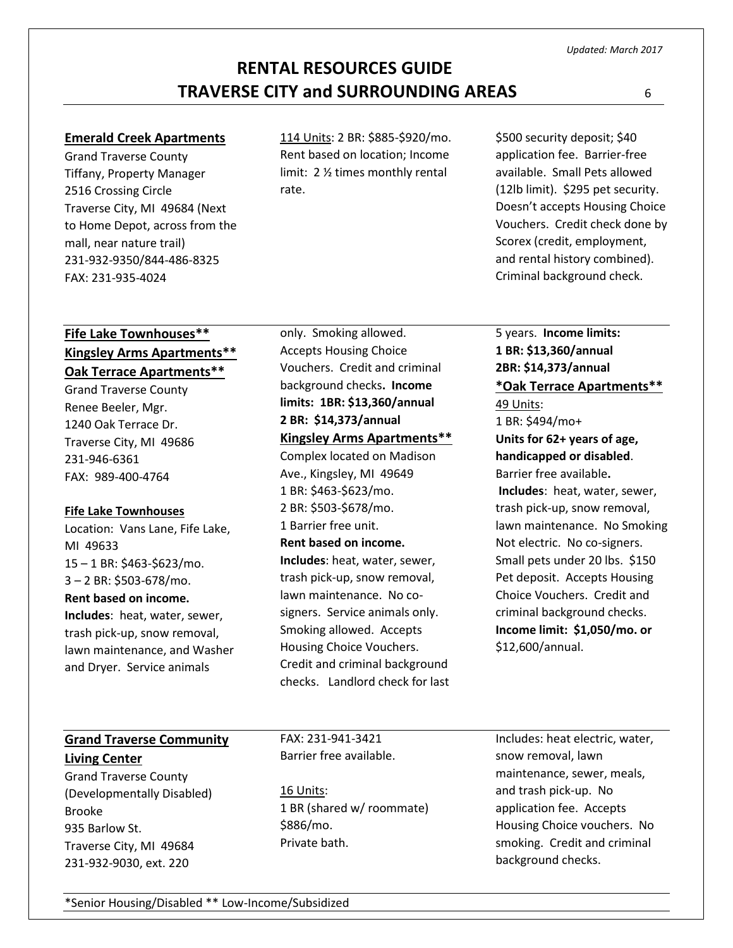#### **Emerald Creek Apartments**

Grand Traverse County Tiffany, Property Manager 2516 Crossing Circle Traverse City, MI 49684 (Next to Home Depot, across from the mall, near nature trail) 231-932-9350/844-486-8325 FAX: 231-935-4024

114 Units: 2 BR: \$885-\$920/mo. Rent based on location; Income limit: 2 ½ times monthly rental rate.

\$500 security deposit; \$40 application fee. Barrier-free available. Small Pets allowed (12lb limit). \$295 pet security. Doesn't accepts Housing Choice Vouchers. Credit check done by Scorex (credit, employment, and rental history combined). Criminal background check.

### **Fife Lake Townhouses\*\* Kingsley Arms Apartments\*\* Oak Terrace Apartments\*\***

Grand Traverse County Renee Beeler, Mgr. 1240 Oak Terrace Dr. Traverse City, MI 49686 231-946-6361 FAX: 989-400-4764

### **Fife Lake Townhouses**

Location: Vans Lane, Fife Lake, MI 49633 15 – 1 BR: \$463-\$623/mo. 3 – 2 BR: \$503-678/mo. **Rent based on income. Includes**: heat, water, sewer, trash pick-up, snow removal, lawn maintenance, and Washer and Dryer. Service animals

only. Smoking allowed. Accepts Housing Choice Vouchers. Credit and criminal background checks**. Income limits: 1BR: \$13,360/annual 2 BR: \$14,373/annual Kingsley Arms Apartments\*\*** Complex located on Madison Ave., Kingsley, MI 49649

1 BR: \$463-\$623/mo. 2 BR: \$503-\$678/mo. 1 Barrier free unit. **Rent based on income. Includes**: heat, water, sewer, trash pick-up, snow removal, lawn maintenance. No cosigners. Service animals only. Smoking allowed. Accepts Housing Choice Vouchers. Credit and criminal background checks. Landlord check for last 5 years. **Income limits: 1 BR: \$13,360/annual 2BR: \$14,373/annual \*Oak Terrace Apartments\*\***

49 Units:

1 BR: \$494/mo+ **Units for 62+ years of age, handicapped or disabled**. Barrier free available**. Includes**: heat, water, sewer, trash pick-up, snow removal, lawn maintenance. No Smoking Not electric. No co-signers. Small pets under 20 lbs. \$150 Pet deposit. Accepts Housing Choice Vouchers. Credit and criminal background checks. **Income limit: \$1,050/mo. or**  \$12,600/annual.

### **Grand Traverse Community Living Center**

Grand Traverse County (Developmentally Disabled) Brooke 935 Barlow St. Traverse City, MI 49684 231-932-9030, ext. 220

FAX: 231-941-3421 Barrier free available.

16 Units: 1 BR (shared w/ roommate) \$886/mo. Private bath.

Includes: heat electric, water, snow removal, lawn maintenance, sewer, meals, and trash pick-up. No application fee. Accepts Housing Choice vouchers. No smoking. Credit and criminal background checks.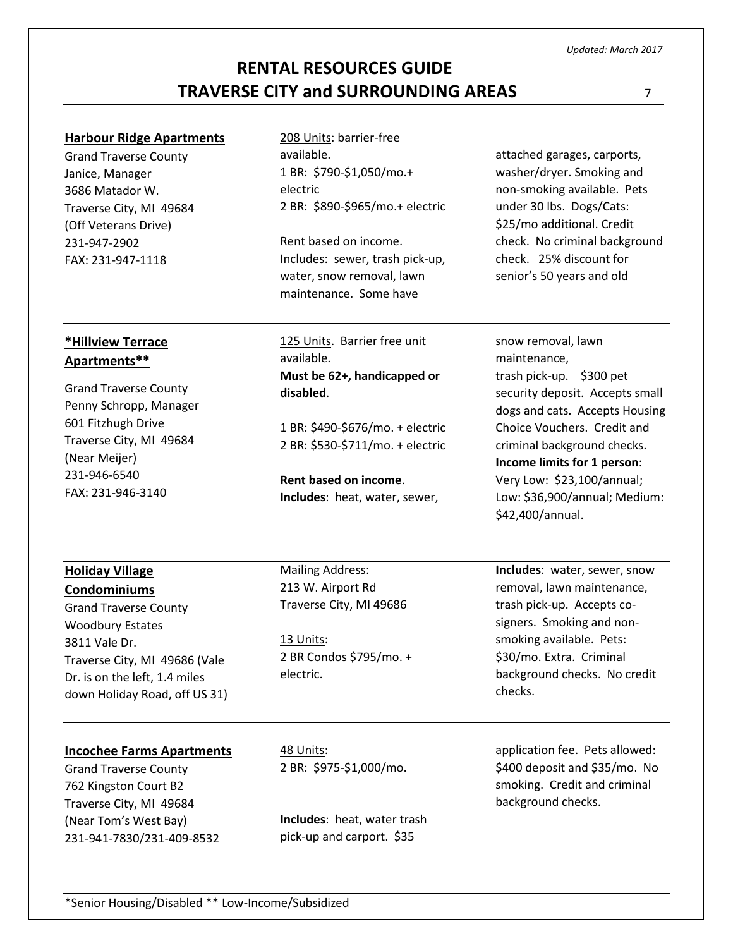\*Senior Housing/Disabled \*\* Low-Income/Subsidized

# **RENTAL RESOURCES GUIDE TRAVERSE CITY and SURROUNDING AREAS** <sup>7</sup>

### **Harbour Ridge Apartments**

Grand Traverse County Janice, Manager 3686 Matador W. Traverse City, MI 49684 (Off Veterans Drive) 231-947-2902 FAX: 231-947-1118

**\*Hillview Terrace Apartments\*\***

Grand Traverse County Penny Schropp, Manager

Traverse City, MI 49684

601 Fitzhugh Drive

(Near Meijer) 231-946-6540 FAX: 231-946-3140

**Holiday Village Condominiums**

Grand Traverse County Woodbury Estates 3811 Vale Dr.

### 208 Units: barrier-free available. 1 BR: \$790-\$1,050/mo.+ electric 2 BR: \$890-\$965/mo.+ electric

Rent based on income. Includes: sewer, trash pick-up, water, snow removal, lawn maintenance. Some have

125 Units. Barrier free unit available. **Must be 62+, handicapped or disabled**.

1 BR: \$490-\$676/mo. + electric 2 BR: \$530-\$711/mo. + electric

**Rent based on income**. **Includes**: heat, water, sewer,

Mailing Address: 213 W. Airport Rd Traverse City, MI 49686

13 Units: 2 BR Condos \$795/mo. + electric.

attached garages, carports, washer/dryer. Smoking and non-smoking available. Pets under 30 lbs. Dogs/Cats: \$25/mo additional. Credit check. No criminal background check. 25% discount for senior's 50 years and old

snow removal, lawn maintenance, trash pick-up. \$300 pet security deposit. Accepts small dogs and cats. Accepts Housing Choice Vouchers. Credit and criminal background checks. **Income limits for 1 person**: Very Low: \$23,100/annual; Low: \$36,900/annual; Medium: \$42,400/annual.

**Includes**: water, sewer, snow removal, lawn maintenance, trash pick-up. Accepts cosigners. Smoking and nonsmoking available. Pets: \$30/mo. Extra. Criminal background checks. No credit checks.

### **Incochee Farms Apartments**

Traverse City, MI 49686 (Vale Dr. is on the left, 1.4 miles down Holiday Road, off US 31)

Grand Traverse County 762 Kingston Court B2 Traverse City, MI 49684 (Near Tom's West Bay) 231-941-7830/231-409-8532 48 Units: 2 BR: \$975-\$1,000/mo.

**Includes**: heat, water trash pick-up and carport. \$35

application fee. Pets allowed: \$400 deposit and \$35/mo. No smoking. Credit and criminal background checks.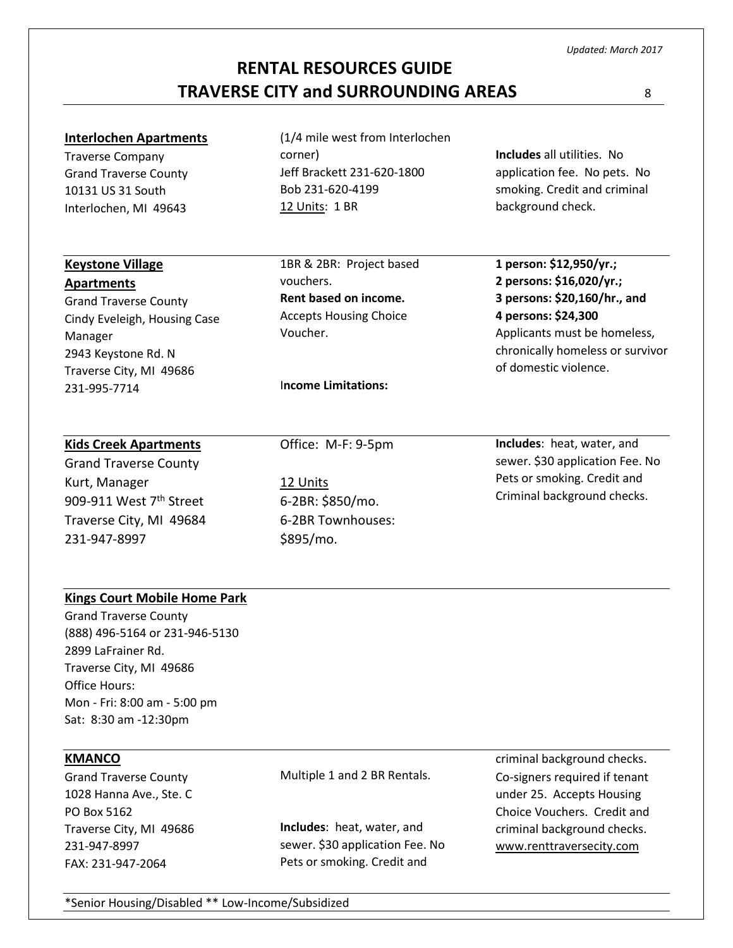\*Senior Housing/Disabled \*\* Low-Income/Subsidized

# **RENTAL RESOURCES GUIDE**

# **TRAVERSE CITY and SURROUNDING AREAS** <sup>8</sup>

### **Interlochen Apartments**

Traverse Company Grand Traverse County 10131 US 31 South Interlochen, MI 49643

**Keystone Village Apartments**

Manager

231-995-7714

Grand Traverse County Cindy Eveleigh, Housing Case

2943 Keystone Rd. N Traverse City, MI 49686

(1/4 mile west from Interlochen corner) Jeff Brackett 231-620-1800 Bob 231-620-4199 12 Units: 1 BR

1BR & 2BR: Project based vouchers. **Rent based on income.** Accepts Housing Choice Voucher.

I**ncome Limitations:** 

**Includes** all utilities. No application fee. No pets. No smoking. Credit and criminal background check.

**1 person: \$12,950/yr.; 2 persons: \$16,020/yr.; 3 persons: \$20,160/hr., and 4 persons: \$24,300** Applicants must be homeless, chronically homeless or survivor of domestic violence.

### **Kids Creek Apartments**

Grand Traverse County Kurt, Manager 909-911 West 7<sup>th</sup> Street Traverse City, MI 49684 231-947-8997

Office: M-F: 9-5pm

12 Units 6-2BR: \$850/mo. 6-2BR Townhouses: \$895/mo.

**Includes**: heat, water, and sewer. \$30 application Fee. No Pets or smoking. Credit and Criminal background checks.

### **Kings Court Mobile Home Park**

Grand Traverse County (888) 496-5164 or 231-946-5130 2899 LaFrainer Rd. Traverse City, MI 49686 Office Hours: Mon - Fri: 8:00 am - 5:00 pm Sat: 8:30 am -12:30pm

### **KMANCO**

Grand Traverse County 1028 Hanna Ave., Ste. C PO Box 5162 Traverse City, MI 49686 231-947-8997 FAX: 231-947-2064

Multiple 1 and 2 BR Rentals.

**Includes**: heat, water, and sewer. \$30 application Fee. No Pets or smoking. Credit and

criminal background checks. Co-signers required if tenant under 25. Accepts Housing Choice Vouchers. Credit and criminal background checks. [www.renttraversecity.com](http://www.renttraversecity.com/)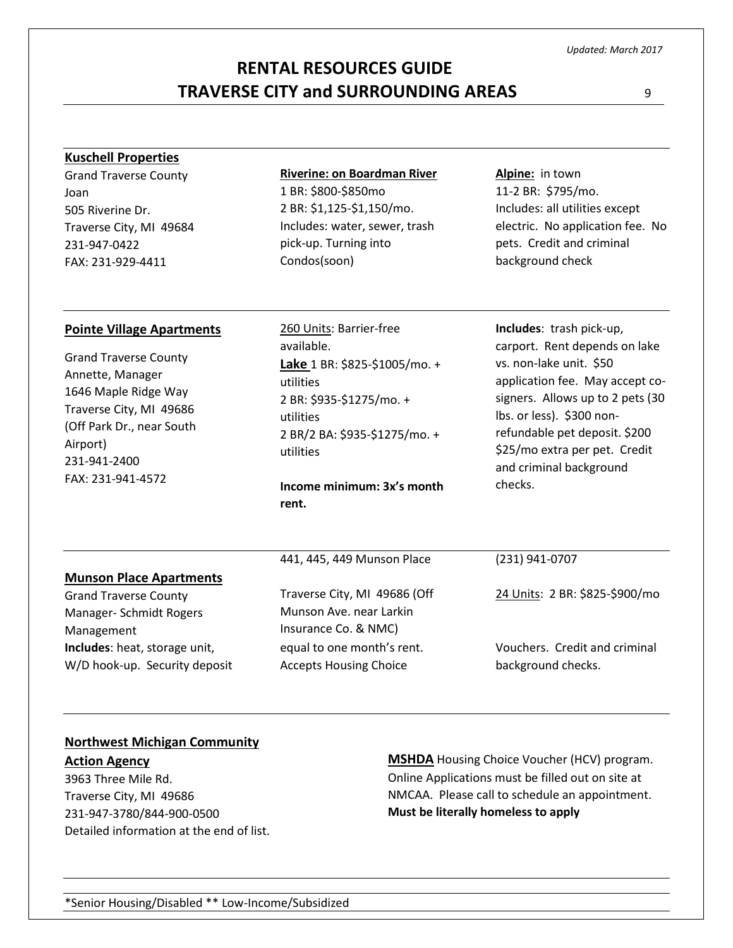# **RENTAL RESOURCES GUIDE TRAVERSE CITY and SURROUNDING AREAS** <sup>9</sup>

#### **Kuschell Properties**

Grand Traverse County Joan 505 Riverine Dr. Traverse City, MI 49684 231-947-0422 FAX: 231-929-4411

#### **Riverine: on Boardman River**

1 BR: \$800-\$850mo 2 BR: \$1,125-\$1,150/mo. Includes: water, sewer, trash pick-up. Turning into Condos(soon)

**Alpine:** in town 11-2 BR: \$795/mo. Includes: all utilities except electric. No application fee. No pets. Credit and criminal background check

#### **Pointe Village Apartments**

Grand Traverse County Annette, Manager 1646 Maple Ridge Way Traverse City, MI 49686 (Off Park Dr., near South Airport) 231-941-2400 FAX: 231-941-4572

260 Units: Barrier-free available. **Lake** 1 BR: \$825-\$1005/mo. + utilities 2 BR: \$935-\$1275/mo. + utilities 2 BR/2 BA: \$935-\$1275/mo. + utilities

**Income minimum: 3x's month rent.**

**Includes**: trash pick-up, carport. Rent depends on lake vs. non-lake unit. \$50 application fee. May accept cosigners. Allows up to 2 pets (30 lbs. or less). \$300 nonrefundable pet deposit. \$200 \$25/mo extra per pet. Credit and criminal background checks.

#### **Munson Place Apartments** Grand Traverse County Manager- Schmidt Rogers Management 441, 445, 449 Munson Place Traverse City, MI 49686 (Off Munson Ave. near Larkin Insurance Co. & NMC) (231) 941-0707 24 Units: 2 BR: \$825-\$900/mo **Includes**: heat, storage unit, W/D hook-up. Security deposit equal to one month's rent. Accepts Housing Choice Vouchers. Credit and criminal background checks.

#### **Northwest Michigan Community**

**Action Agency** 3963 Three Mile Rd. Traverse City, MI 49686 231-947-3780/844-900-0500 Detailed information at the end of list. **MSHDA** Housing Choice Voucher (HCV) program. Online Applications must be filled out on site at NMCAA. Please call to schedule an appointment. **Must be literally homeless to apply**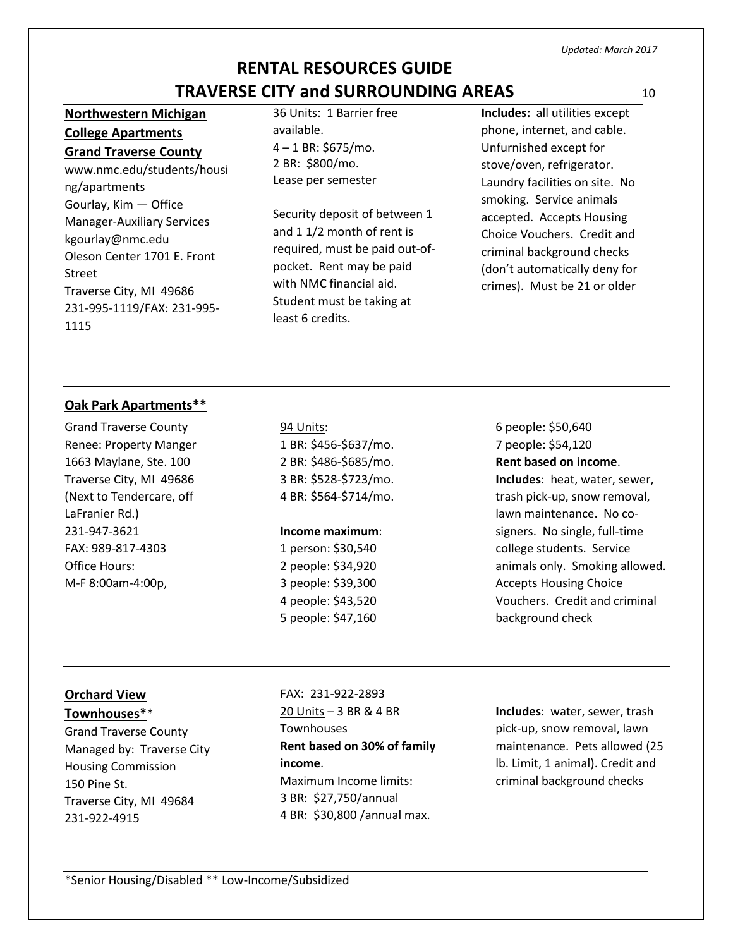# **Northwestern Michigan College Apartments**

**Grand Traverse County** www.nmc.edu/students/housi ng/apartments Gourlay, Kim — Office Manager-Auxiliary Services kgourlay@nmc.edu Oleson Center 1701 E. Front Street Traverse City, MI 49686 231-995-1119/FAX: 231-995- 1115

36 Units: 1 Barrier free available. 4 – 1 BR: \$675/mo. 2 BR: \$800/mo. Lease per semester

Security deposit of between 1 and 1 1/2 month of rent is required, must be paid out-ofpocket. Rent may be paid with NMC financial aid. Student must be taking at least 6 credits.

**Includes:** all utilities except phone, internet, and cable. Unfurnished except for stove/oven, refrigerator. Laundry facilities on site. No smoking. Service animals accepted. Accepts Housing Choice Vouchers. Credit and criminal background checks (don't automatically deny for crimes). Must be 21 or older

### **Oak Park Apartments\*\***

Grand Traverse County Renee: Property Manger 1663 Maylane, Ste. 100 Traverse City, MI 49686 (Next to Tendercare, off LaFranier Rd.) 231-947-3621 FAX: 989-817-4303 Office Hours: M-F 8:00am-4:00p,

94 Units: 1 BR: \$456-\$637/mo. 2 BR: \$486-\$685/mo. 3 BR: \$528-\$723/mo. 4 BR: \$564-\$714/mo.

### **Income maximum**:

1 person: \$30,540 2 people: \$34,920 3 people: \$39,300 4 people: \$43,520 5 people: \$47,160

6 people: \$50,640 7 people: \$54,120 **Rent based on income**. **Includes**: heat, water, sewer, trash pick-up, snow removal, lawn maintenance. No cosigners. No single, full-time college students. Service animals only. Smoking allowed. Accepts Housing Choice Vouchers. Credit and criminal background check

# **Orchard View**

**Townhouses\***\*

Grand Traverse County Managed by: Traverse City Housing Commission 150 Pine St. Traverse City, MI 49684 231-922-4915

FAX: 231-922-2893 20 Units – 3 BR & 4 BR **Townhouses Rent based on 30% of family income**. Maximum Income limits: 3 BR: \$27,750/annual 4 BR: \$30,800 /annual max.

**Includes**: water, sewer, trash pick-up, snow removal, lawn maintenance. Pets allowed (25 lb. Limit, 1 animal). Credit and criminal background checks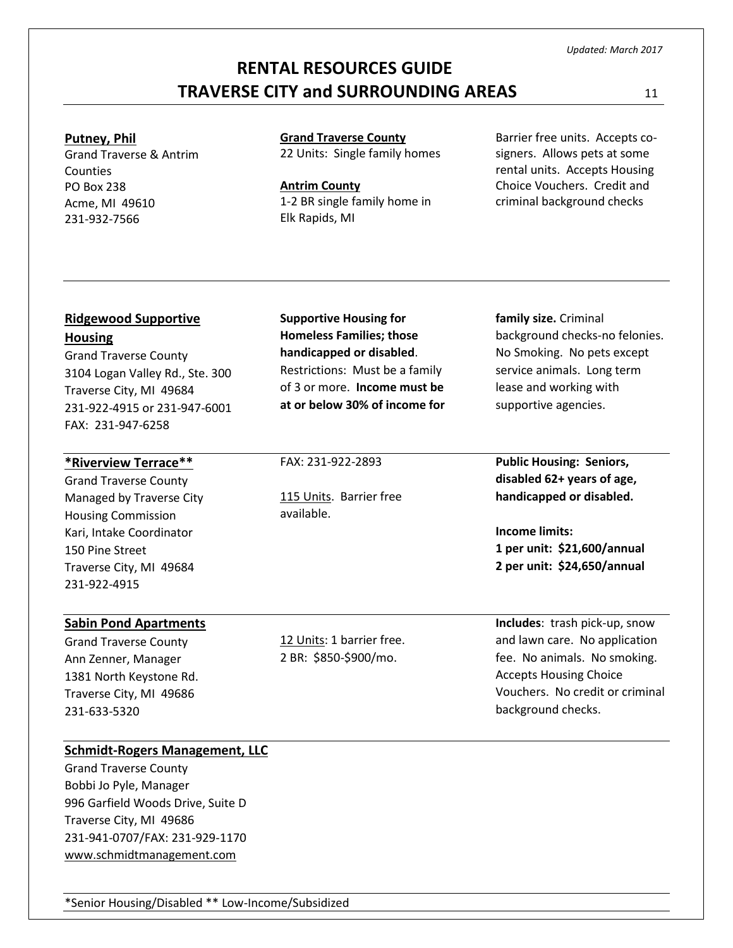# **RENTAL RESOURCES GUIDE TRAVERSE CITY and SURROUNDING AREAS** 11

#### **Putney, Phil**

Grand Traverse & Antrim **Counties** PO Box 238 Acme, MI 49610 231-932-7566

**Grand Traverse County** 22 Units: Single family homes

**Antrim County** 1-2 BR single family home in Elk Rapids, MI

**Supportive Housing for Homeless Families; those handicapped or disabled**. Restrictions: Must be a family of 3 or more. **Income must be at or below 30% of income for**

FAX: 231-922-2893

available.

115 Units. Barrier free

Barrier free units. Accepts cosigners. Allows pets at some rental units. Accepts Housing Choice Vouchers. Credit and criminal background checks

### **Ridgewood Supportive Housing**

Grand Traverse County 3104 Logan Valley Rd., Ste. 300 Traverse City, MI 49684 231-922-4915 or 231-947-6001 FAX: 231-947-6258

### **\*Riverview Terrace\*\***

Grand Traverse County Managed by Traverse City Housing Commission Kari, Intake Coordinator 150 Pine Street Traverse City, MI 49684 231-922-4915

### **Sabin Pond Apartments**

Grand Traverse County Ann Zenner, Manager 1381 North Keystone Rd. Traverse City, MI 49686 231-633-5320

12 Units: 1 barrier free. 2 BR: \$850-\$900/mo.

**family size.** Criminal background checks-no felonies. No Smoking. No pets except service animals. Long term lease and working with supportive agencies.

**Public Housing: Seniors, disabled 62+ years of age, handicapped or disabled.**

**Income limits: 1 per unit: \$21,600/annual 2 per unit: \$24,650/annual**

**Includes**: trash pick-up, snow and lawn care. No application fee. No animals. No smoking. Accepts Housing Choice Vouchers. No credit or criminal background checks.

### **Schmidt-Rogers Management, LLC**

Grand Traverse County Bobbi Jo Pyle, Manager 996 Garfield Woods Drive, Suite D Traverse City, MI 49686 231-941-0707/FAX: 231-929-1170 [www.schmidtmanagement.com](http://www.schmidtmanagement.com/)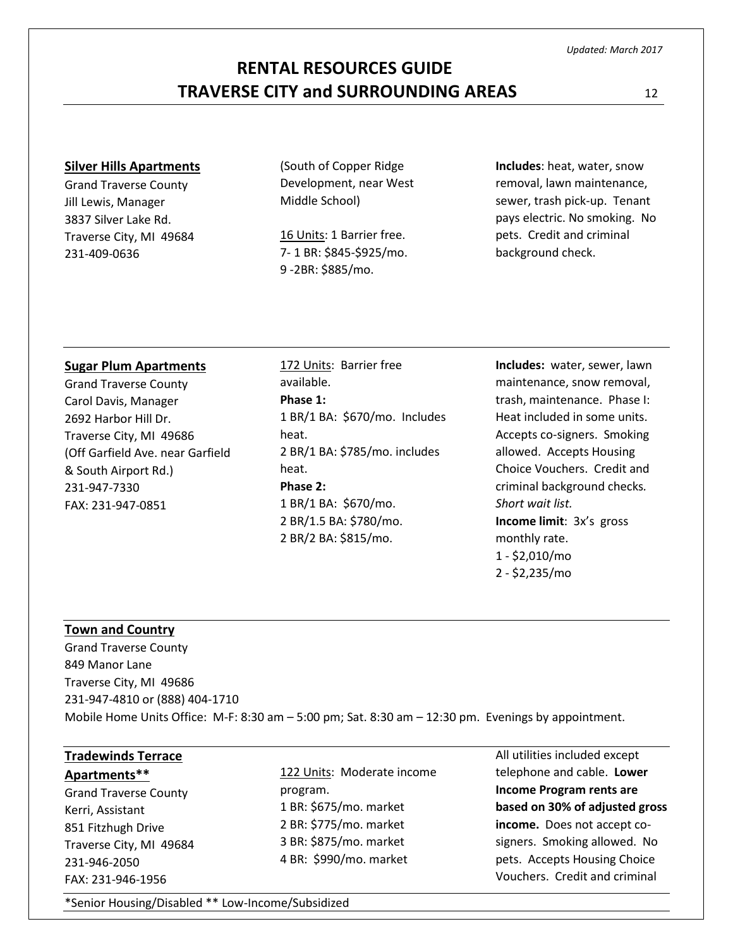# **RENTAL RESOURCES GUIDE TRAVERSE CITY and SURROUNDING AREAS** 12

#### **Silver Hills Apartments**

Grand Traverse County Jill Lewis, Manager 3837 Silver Lake Rd. Traverse City, MI 49684 231-409-0636

(South of Copper Ridge Development, near West Middle School)

16 Units: 1 Barrier free. 7- 1 BR: \$845-\$925/mo. 9 -2BR: \$885/mo.

**Includes**: heat, water, snow removal, lawn maintenance, sewer, trash pick-up. Tenant pays electric. No smoking. No pets. Credit and criminal background check.

#### **Sugar Plum Apartments**

Grand Traverse County Carol Davis, Manager 2692 Harbor Hill Dr. Traverse City, MI 49686 (Off Garfield Ave. near Garfield & South Airport Rd.) 231-947-7330 FAX: 231-947-0851

172 Units: Barrier free available. **Phase 1:** 1 BR/1 BA: \$670/mo. Includes heat. 2 BR/1 BA: \$785/mo. includes heat. **Phase 2:** 1 BR/1 BA: \$670/mo. 2 BR/1.5 BA: \$780/mo. 2 BR/2 BA: \$815/mo.

**Includes:** water, sewer, lawn maintenance, snow removal, trash, maintenance. Phase I: Heat included in some units. Accepts co-signers. Smoking allowed. Accepts Housing Choice Vouchers. Credit and criminal background checks*. Short wait list.* **Income limit**: 3x's gross monthly rate. 1 - \$2,010/mo 2 - \$2,235/mo

#### **Town and Country**

Grand Traverse County 849 Manor Lane Traverse City, MI 49686 231-947-4810 or (888) 404-1710 Mobile Home Units Office: M-F: 8:30 am – 5:00 pm; Sat. 8:30 am – 12:30 pm. Evenings by appointment.

# **Tradewinds Terrace**

**Apartments\*\*** Grand Traverse County Kerri, Assistant 851 Fitzhugh Drive Traverse City, MI 49684 231-946-2050 FAX: 231-946-1956

122 Units: Moderate income program. 1 BR: \$675/mo. market 2 BR: \$775/mo. market 3 BR: \$875/mo. market 4 BR: \$990/mo. market

All utilities included except telephone and cable. **Lower Income Program rents are based on 30% of adjusted gross income.** Does not accept cosigners. Smoking allowed. No pets. Accepts Housing Choice Vouchers. Credit and criminal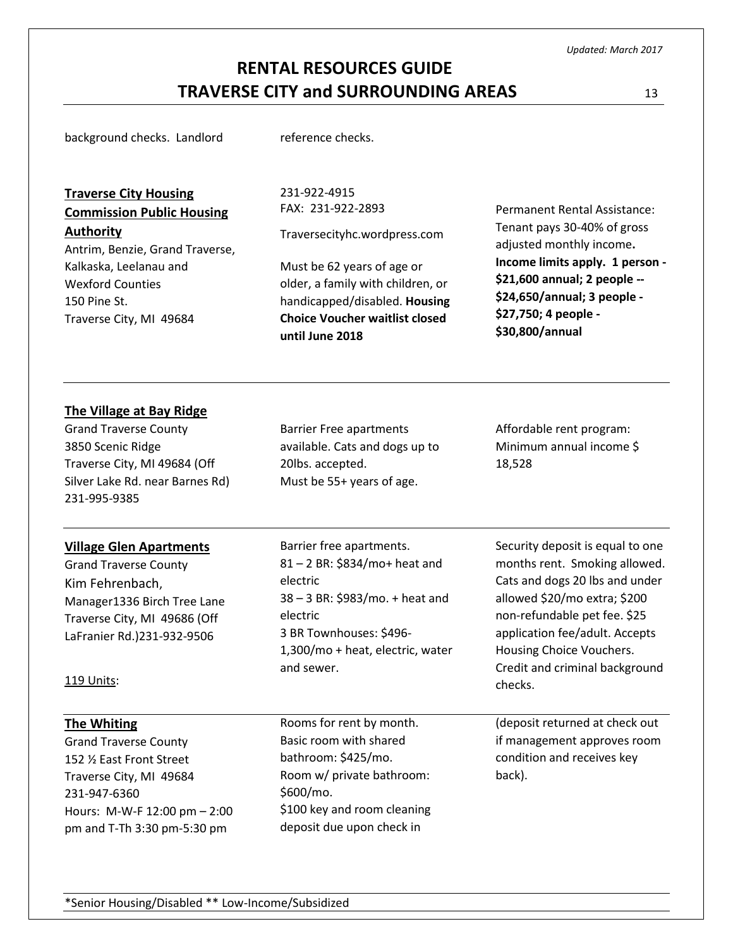# **RENTAL RESOURCES GUIDE TRAVERSE CITY and SURROUNDING AREAS** 13

background checks. Landlord reference checks.

**Traverse City Housing Commission Public Housing Authority**

Antrim, Benzie, Grand Traverse, Kalkaska, Leelanau and Wexford Counties 150 Pine St. Traverse City, MI 49684

231-922-4915 FAX: 231-922-2893

Traversecityhc.wordpress.com

Must be 62 years of age or older, a family with children, or handicapped/disabled. **Housing Choice Voucher waitlist closed until June 2018** 

Permanent Rental Assistance: Tenant pays 30-40% of gross adjusted monthly income**. Income limits apply. 1 person - \$21,600 annual; 2 people -- \$24,650/annual; 3 people - \$27,750; 4 people - \$30,800/annual**

### **The Village at Bay Ridge**

Grand Traverse County 3850 Scenic Ridge Traverse City, MI 49684 (Off Silver Lake Rd. near Barnes Rd) 231-995-9385

### **Village Glen Apartments**

Grand Traverse County Kim Fehrenbach, Manager1336 Birch Tree Lane Traverse City, MI 49686 (Off LaFranier Rd.)231-932-9506

available. Cats and dogs up to 20lbs. accepted. Must be 55+ years of age.

Barrier Free apartments

Affordable rent program: Minimum annual income \$ 18,528

Barrier free apartments. 81 – 2 BR: \$834/mo+ heat and electric 38 – 3 BR: \$983/mo. + heat and electric 3 BR Townhouses: \$496- 1,300/mo + heat, electric, water and sewer.

Security deposit is equal to one months rent. Smoking allowed. Cats and dogs 20 lbs and under allowed \$20/mo extra; \$200 non-refundable pet fee. \$25 application fee/adult. Accepts Housing Choice Vouchers. Credit and criminal background checks.

(deposit returned at check out if management approves room condition and receives key back).

### 119 Units:

#### **The Whiting**

Grand Traverse County 152 ½ East Front Street Traverse City, MI 49684 231-947-6360 Hours: M-W-F 12:00 pm – 2:00 pm and T-Th 3:30 pm-5:30 pm

Rooms for rent by month. Basic room with shared bathroom: \$425/mo. Room w/ private bathroom: \$600/mo. \$100 key and room cleaning deposit due upon check in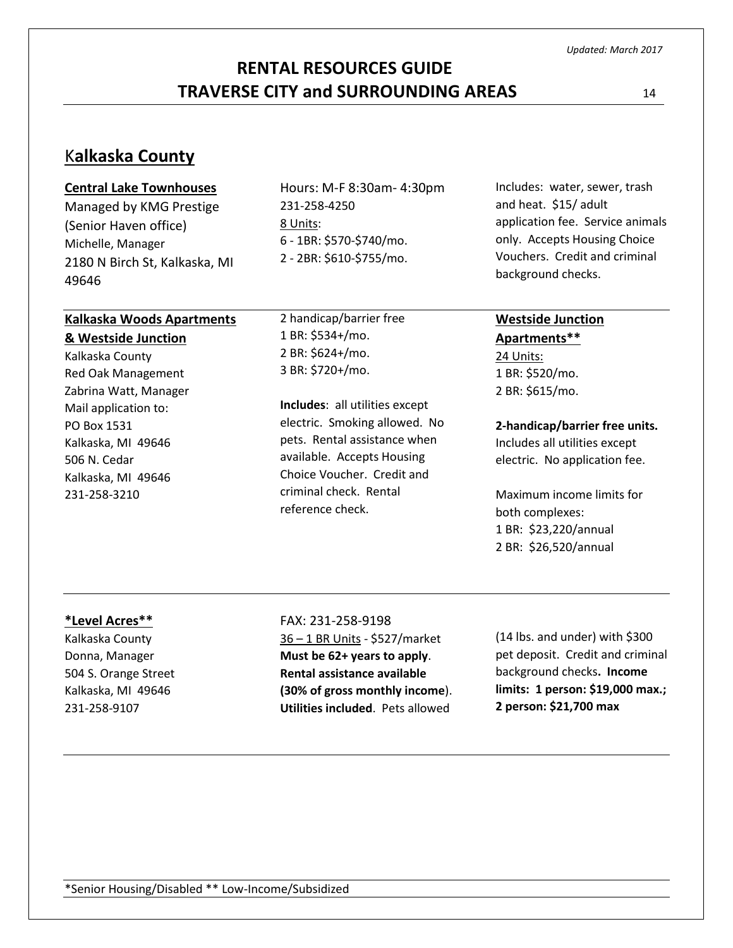# **RENTAL RESOURCES GUIDE TRAVERSE CITY and SURROUNDING AREAS** 14

# K**alkaska County**

#### **Central Lake Townhouses**

Managed by KMG Prestige (Senior Haven office) Michelle, Manager 2180 N Birch St, Kalkaska, MI 49646

# **Kalkaska Woods Apartments**

#### **& Westside Junction**

Kalkaska County Red Oak Management Zabrina Watt, Manager Mail application to: PO Box 1531 Kalkaska, MI 49646 506 N. Cedar Kalkaska, MI 49646 231-258-3210

Hours: M-F 8:30am- 4:30pm 231-258-4250 8 Units: 6 - 1BR: \$570-\$740/mo. 2 - 2BR: \$610-\$755/mo.

2 handicap/barrier free 1 BR: \$534+/mo. 2 BR: \$624+/mo. 3 BR: \$720+/mo.

**Includes**: all utilities except electric. Smoking allowed. No pets. Rental assistance when available. Accepts Housing Choice Voucher. Credit and criminal check. Rental reference check.

Includes: water, sewer, trash and heat. \$15/ adult application fee. Service animals only. Accepts Housing Choice Vouchers. Credit and criminal background checks.

# **Westside Junction**

**Apartments\*\*** 24 Units: 1 BR: \$520/mo. 2 BR: \$615/mo.

#### **2-handicap/barrier free units.**

Includes all utilities except electric. No application fee.

Maximum income limits for both complexes: 1 BR: \$23,220/annual 2 BR: \$26,520/annual

#### **\*Level Acres\*\***

Kalkaska County Donna, Manager 504 S. Orange Street Kalkaska, MI 49646 231-258-9107

#### FAX: 231-258-9198

36 – 1 BR Units - \$527/market **Must be 62+ years to apply**. **Rental assistance available (30% of gross monthly income**). **Utilities included**. Pets allowed

(14 lbs. and under) with \$300 pet deposit. Credit and criminal background checks**. Income limits: 1 person: \$19,000 max.; 2 person: \$21,700 max**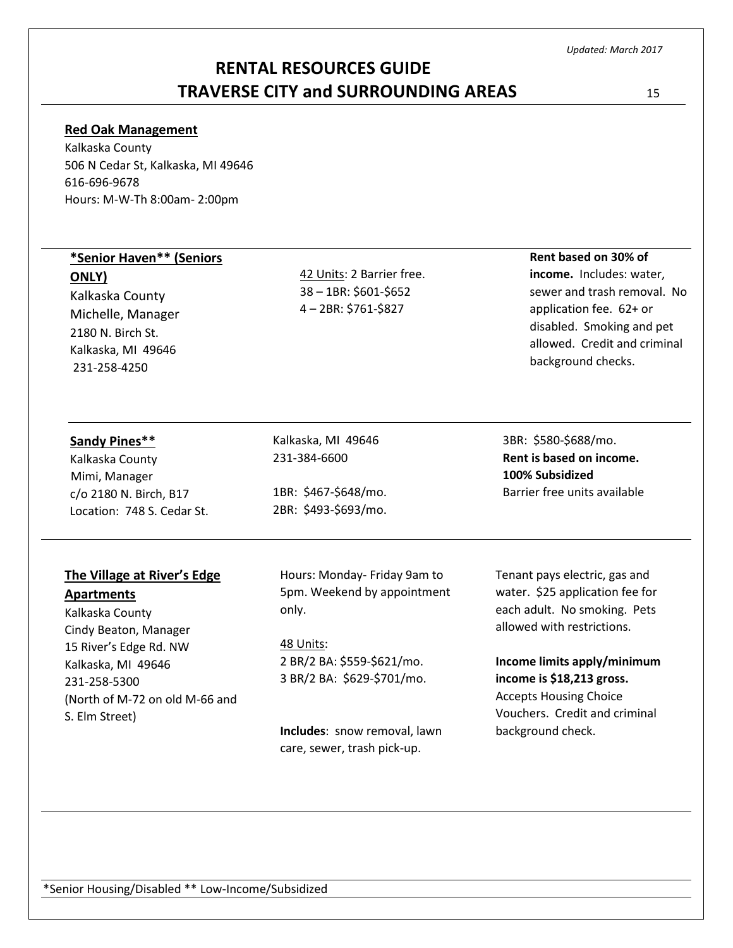# **RENTAL RESOURCES GUIDE TRAVERSE CITY and SURROUNDING AREAS** 15

#### **Red Oak Management**

Kalkaska County 506 N Cedar St, Kalkaska, MI 49646 616-696-9678 Hours: M-W-Th 8:00am- 2:00pm

### **\*Senior Haven\*\* (Seniors**

**ONLY)**

Kalkaska County Michelle, Manager 2180 N. Birch St. Kalkaska, MI 49646 231-258-4250

42 Units: 2 Barrier free. 38 – 1BR: \$601-\$652 4 – 2BR: \$761-\$827

# **Rent based on 30% of**

**income.** Includes: water, sewer and trash removal. No application fee. 62+ or disabled. Smoking and pet allowed. Credit and criminal background checks.

| Sandy Pines** |
|---------------|
|               |

Kalkaska County Mimi, Manager c/o 2180 N. Birch, B17 Location: 748 S. Cedar St.

### **The Village at River's Edge Apartments**

Kalkaska County Cindy Beaton, Manager 15 River's Edge Rd. NW Kalkaska, MI 49646 231-258-5300 (North of M-72 on old M-66 and S. Elm Street)

Kalkaska, MI 49646 231-384-6600

1BR: \$467-\$648/mo. 2BR: \$493-\$693/mo. **Rent is based on income. 100% Subsidized**  Barrier free units available

3BR: \$580-\$688/mo.

Hours: Monday- Friday 9am to 5pm. Weekend by appointment only.

48 Units: 2 BR/2 BA: \$559-\$621/mo. 3 BR/2 BA: \$629-\$701/mo.

**Includes**: snow removal, lawn care, sewer, trash pick-up.

Tenant pays electric, gas and water. \$25 application fee for each adult. No smoking. Pets allowed with restrictions.

**Income limits apply/minimum income is \$18,213 gross.**

Accepts Housing Choice Vouchers. Credit and criminal background check.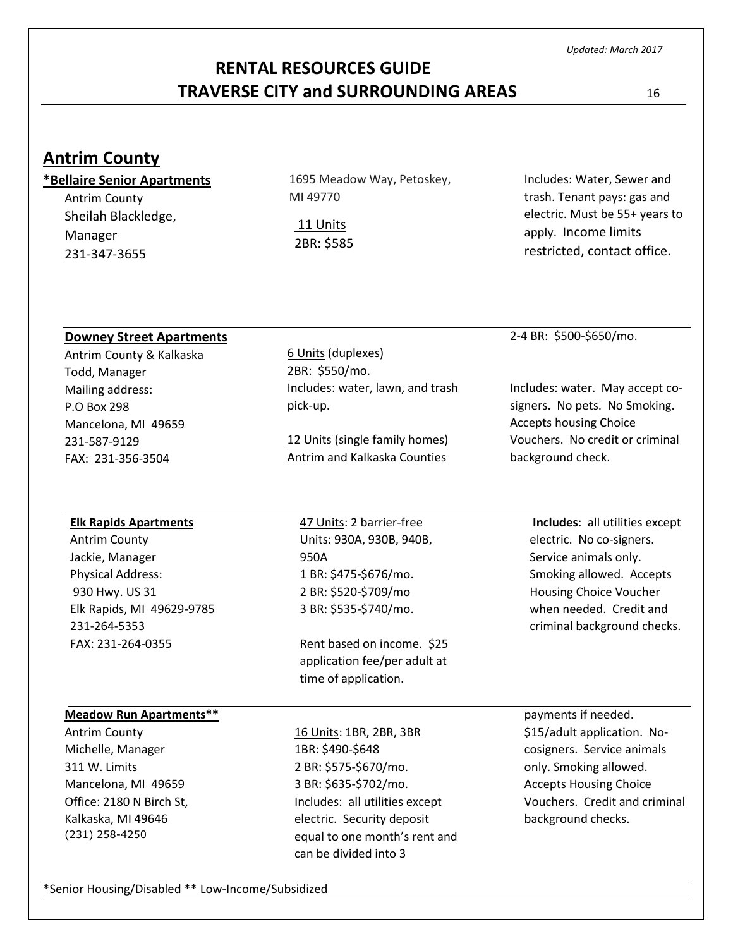# **RENTAL RESOURCES GUIDE TRAVERSE CITY and SURROUNDING AREAS** 16

# **Antrim County**

### **\*Bellaire Senior Apartments**

Antrim County Sheilah Blackledge, Manager 231-347-3655

1695 Meadow Way, Petoskey, MI 49770

11 Units 2BR: \$585

Includes: Water, Sewer and trash. Tenant pays: gas and electric. Must be 55+ years to apply. Income limits restricted, contact office.

### **Downey Street Apartments**

Antrim County & Kalkaska Todd, Manager Mailing address: P.O Box 298 Mancelona, MI 49659 231-587-9129 FAX: 231-356-3504

### 6 Units (duplexes) 2BR: \$550/mo. Includes: water, lawn, and trash pick-up.

12 Units (single family homes) Antrim and Kalkaska Counties

2-4 BR: \$500-\$650/mo.

Includes: water. May accept cosigners. No pets. No Smoking. Accepts housing Choice Vouchers. No credit or criminal background check.

### **Elk Rapids Apartments**

Antrim County Jackie, Manager Physical Address: 930 Hwy. US 31 Elk Rapids, MI 49629-9785 231-264-5353 FAX: 231-264-0355

47 Units: 2 barrier-free Units: 930A, 930B, 940B, 950A 1 BR: \$475-\$676/mo. 2 BR: \$520-\$709/mo 3 BR: \$535-\$740/mo.

Rent based on income. \$25 application fee/per adult at time of application.

### **Meadow Run Apartments\*\***

Antrim County Michelle, Manager 311 W. Limits Mancelona, MI 49659 Office: 2180 N Birch St, Kalkaska, MI 49646 (231) 258-4250

16 Units: 1BR, 2BR, 3BR 1BR: \$490-\$648 2 BR: \$575-\$670/mo. 3 BR: \$635-\$702/mo. Includes: all utilities except electric. Security deposit equal to one month's rent and can be divided into 3

**Includes**: all utilities except electric. No co-signers. Service animals only. Smoking allowed. Accepts Housing Choice Voucher when needed. Credit and criminal background checks.

payments if needed. \$15/adult application. Nocosigners. Service animals only. Smoking allowed. Accepts Housing Choice Vouchers. Credit and criminal background checks.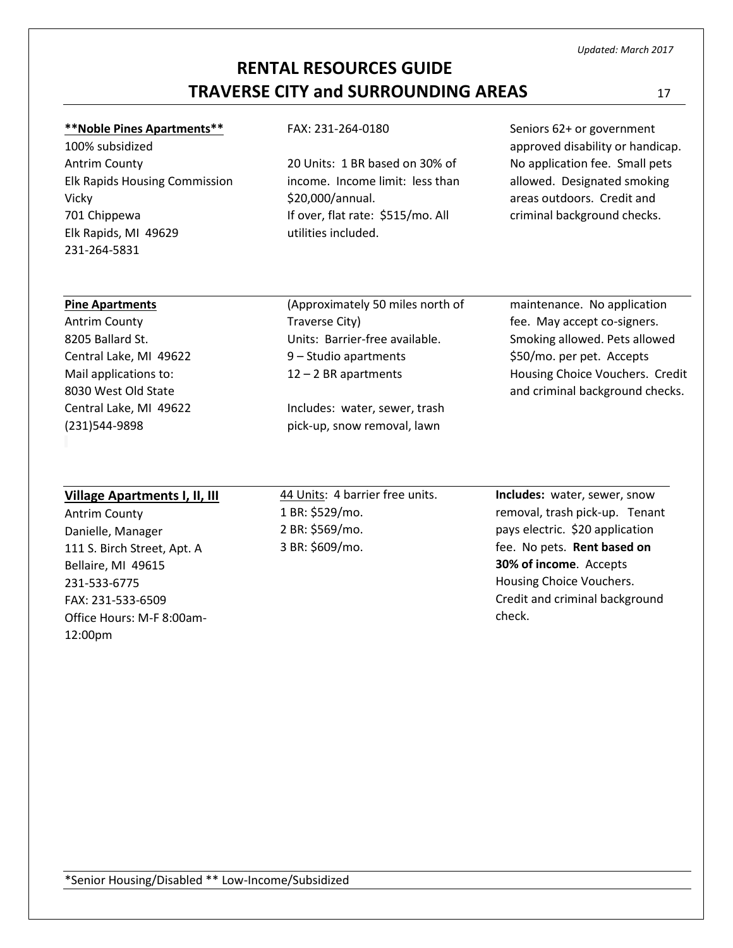# **RENTAL RESOURCES GUIDE TRAVERSE CITY and SURROUNDING AREAS** 17

#### **\*\*Noble Pines Apartments\*\***

100% subsidized Antrim County Elk Rapids Housing Commission Vicky 701 Chippewa Elk Rapids, MI 49629 231-264-5831

#### FAX: 231-264-0180

20 Units: 1 BR based on 30% of income. Income limit: less than \$20,000/annual. If over, flat rate: \$515/mo. All utilities included.

Seniors 62+ or government approved disability or handicap. No application fee. Small pets allowed. Designated smoking areas outdoors. Credit and criminal background checks.

#### **Pine Apartments**

Antrim County 8205 Ballard St. Central Lake, MI 49622 Mail applications to: 8030 West Old State Central Lake, MI 49622 (231)544-9898

(Approximately 50 miles north of Traverse City) Units: Barrier-free available. 9 – Studio apartments 12 – 2 BR apartments

Includes: water, sewer, trash pick-up, snow removal, lawn

maintenance. No application fee. May accept co-signers. Smoking allowed. Pets allowed \$50/mo. per pet. Accepts Housing Choice Vouchers. Credit and criminal background checks.

#### **Village Apartments I, II, III**

Antrim County Danielle, Manager 111 S. Birch Street, Apt. A Bellaire, MI 49615 231-533-6775 FAX: 231-533-6509 Office Hours: M-F 8:00am-12:00pm

44 Units: 4 barrier free units. 1 BR: \$529/mo. 2 BR: \$569/mo. 3 BR: \$609/mo.

**Includes:** water, sewer, snow removal, trash pick-up. Tenant pays electric. \$20 application fee. No pets. **Rent based on 30% of income**. Accepts Housing Choice Vouchers. Credit and criminal background check.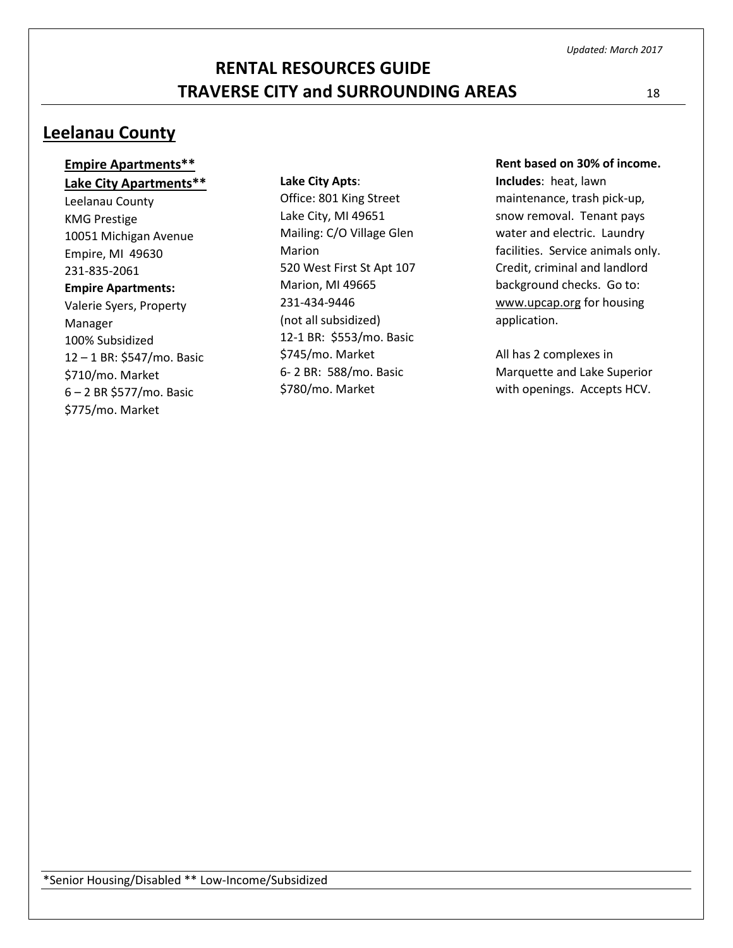# **Leelanau County**

### **Empire Apartments\*\* Lake City Apartments\*\***

Leelanau County KMG Prestige 10051 Michigan Avenue Empire, MI 49630 231-835-2061 **Empire Apartments:** Valerie Syers, Property Manager 100% Subsidized 12 – 1 BR: \$547/mo. Basic \$710/mo. Market 6 – 2 BR \$577/mo. Basic \$775/mo. Market

#### **Lake City Apts**:

Office: 801 King Street Lake City, MI 49651 Mailing: C/O Village Glen Marion 520 West First St Apt 107 Marion, MI 49665 231-434-9446 (not all subsidized) 12-1 BR: \$553/mo. Basic \$745/mo. Market 6- 2 BR: 588/mo. Basic \$780/mo. Market

#### **Rent based on 30% of income.**

**Includes**: heat, lawn maintenance, trash pick-up, snow removal. Tenant pays water and electric. Laundry facilities. Service animals only. Credit, criminal and landlord background checks. Go to: [www.upcap.org](http://www.upcap.org/) for housing application.

All has 2 complexes in Marquette and Lake Superior with openings. Accepts HCV.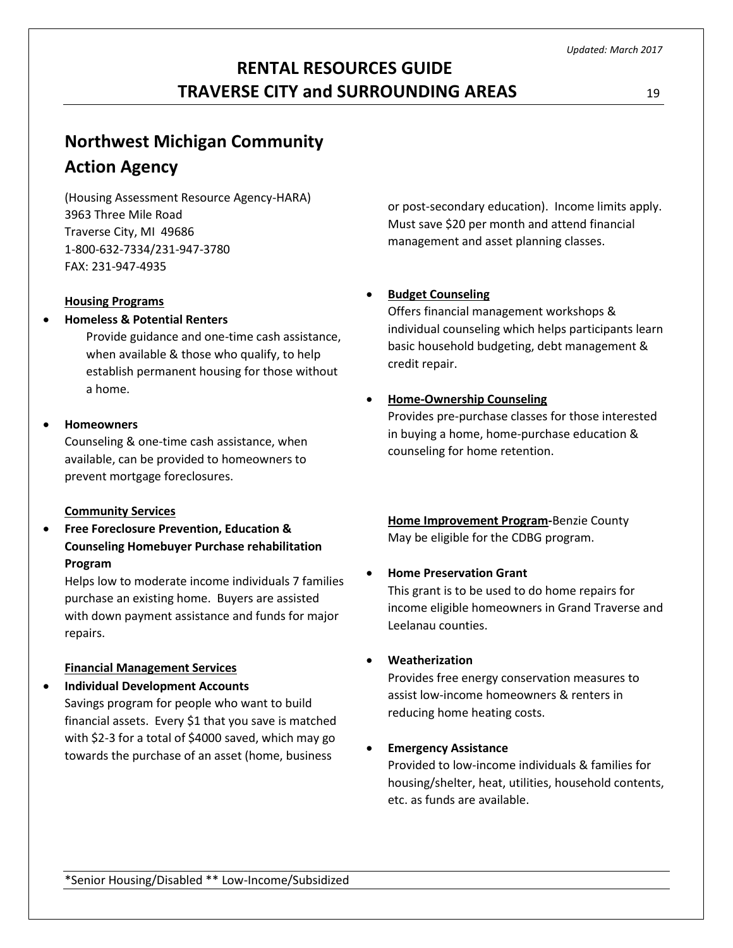# **Northwest Michigan Community Action Agency**

(Housing Assessment Resource Agency-HARA) 3963 Three Mile Road Traverse City, MI 49686 1-800-632-7334/231-947-3780 FAX: 231-947-4935

### **Housing Programs**

### **Homeless & Potential Renters**

Provide guidance and one-time cash assistance, when available & those who qualify, to help establish permanent housing for those without a home.

### **Homeowners**

Counseling & one-time cash assistance, when available, can be provided to homeowners to prevent mortgage foreclosures.

### **Community Services**

 **Free Foreclosure Prevention, Education & Counseling Homebuyer Purchase rehabilitation Program**

Helps low to moderate income individuals 7 families purchase an existing home. Buyers are assisted with down payment assistance and funds for major repairs.

### **Financial Management Services**

- **Individual Development Accounts**
	- Savings program for people who want to build financial assets. Every \$1 that you save is matched with \$2-3 for a total of \$4000 saved, which may go towards the purchase of an asset (home, business

or post-secondary education). Income limits apply. Must save \$20 per month and attend financial management and asset planning classes.

### **Budget Counseling**

Offers financial management workshops & individual counseling which helps participants learn basic household budgeting, debt management & credit repair.

### **Home-Ownership Counseling**

Provides pre-purchase classes for those interested in buying a home, home-purchase education & counseling for home retention.

**Home Improvement Program-**Benzie County May be eligible for the CDBG program.

### **Home Preservation Grant**

This grant is to be used to do home repairs for income eligible homeowners in Grand Traverse and Leelanau counties.

### **Weatherization**

Provides free energy conservation measures to assist low-income homeowners & renters in reducing home heating costs.

### **Emergency Assistance**

Provided to low-income individuals & families for housing/shelter, heat, utilities, household contents, etc. as funds are available.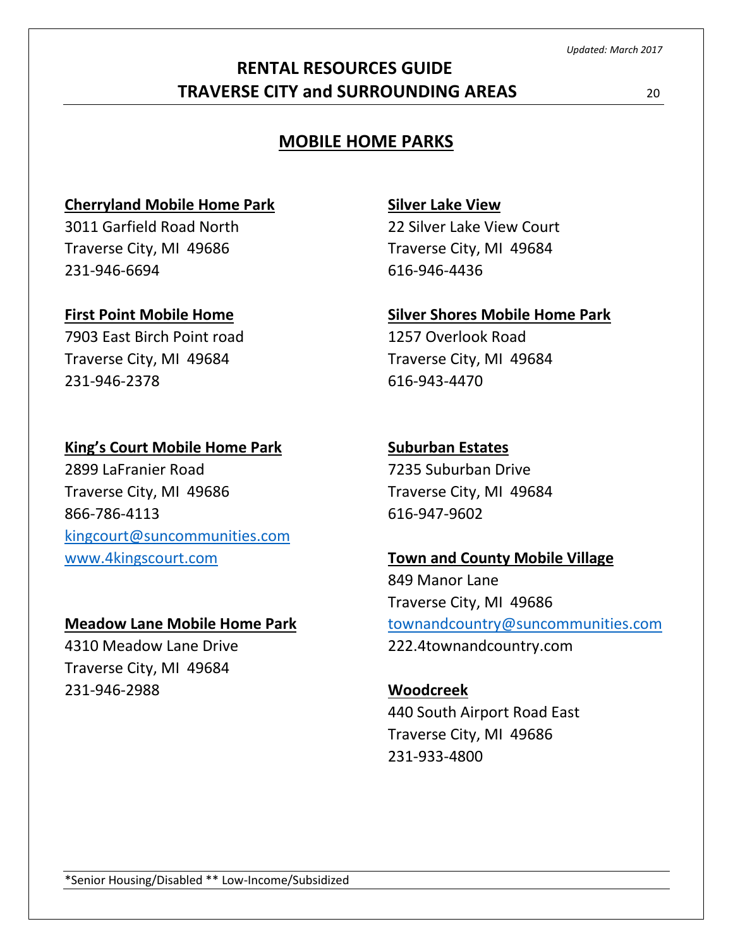# **RENTAL RESOURCES GUIDE TRAVERSE CITY and SURROUNDING AREAS** 20

# **MOBILE HOME PARKS**

# **Cherryland Mobile Home Park**

3011 Garfield Road North Traverse City, MI 49686 231-946-6694

## **First Point Mobile Home**

7903 East Birch Point road Traverse City, MI 49684 231-946-2378

## **King's Court Mobile Home Park**

2899 LaFranier Road Traverse City, MI 49686 866-786-4113 [kingcourt@suncommunities.com](mailto:kingcourt@suncommunities.com) [www.4kingscourt.com](http://www.4kingscourt.com/)

## **Meadow Lane Mobile Home Park**

4310 Meadow Lane Drive Traverse City, MI 49684 231-946-2988

# **Silver Lake View**

22 Silver Lake View Court Traverse City, MI 49684 616-946-4436

# **Silver Shores Mobile Home Park**

1257 Overlook Road Traverse City, MI 49684 616-943-4470

# **Suburban Estates**

7235 Suburban Drive Traverse City, MI 49684 616-947-9602

# **Town and County Mobile Village**

849 Manor Lane Traverse City, MI 49686 [townandcountry@suncommunities.com](mailto:townandcountry@suncommunities.com) 222.4townandcountry.com

# **Woodcreek** 440 South Airport Road East Traverse City, MI 49686 231-933-4800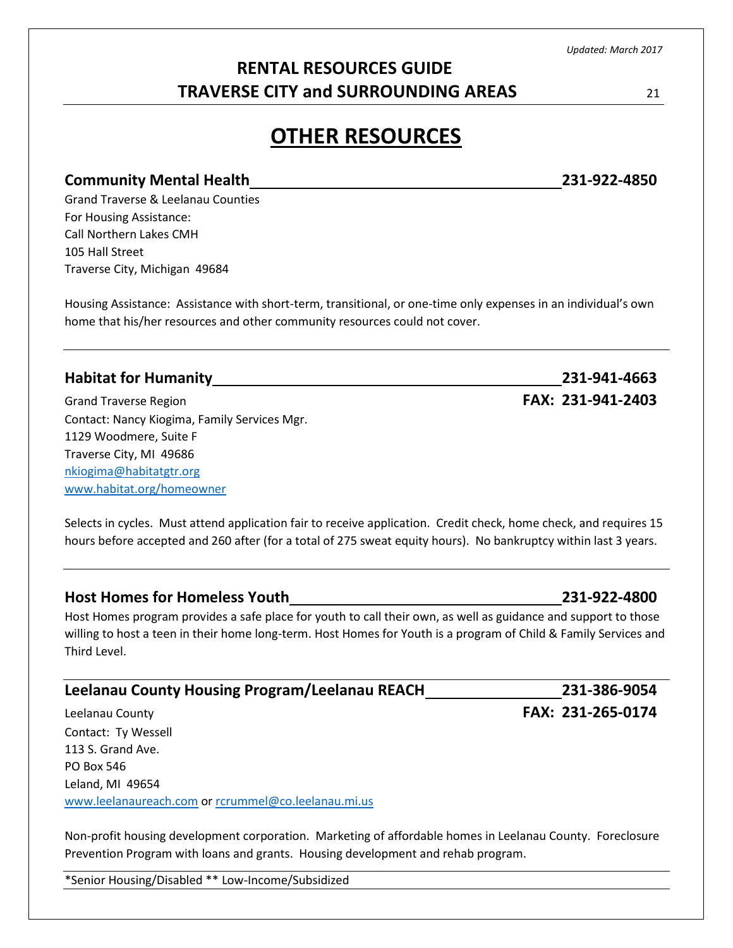# **RENTAL RESOURCES GUIDE TRAVERSE CITY and SURROUNDING AREAS** 21

# **OTHER RESOURCES**

### **Community Mental Health 231-922-4850**

Grand Traverse & Leelanau Counties For Housing Assistance: Call Northern Lakes CMH 105 Hall Street Traverse City, Michigan 49684

Housing Assistance: Assistance with short-term, transitional, or one-time only expenses in an individual's own home that his/her resources and other community resources could not cover.

# **Habitat for Humanity 231-941-4663** Grand Traverse Region **FAX: 231-941-2403** Contact: Nancy Kiogima, Family Services Mgr. 1129 Woodmere, Suite F Traverse City, MI 49686 [nkiogima@habitatgtr.org](mailto:nkiogima@habitatgtr.org) [www.habitat.org/homeowner](http://www.habitat.org/homeowner)

Selects in cycles. Must attend application fair to receive application. Credit check, home check, and requires 15 hours before accepted and 260 after (for a total of 275 sweat equity hours). No bankruptcy within last 3 years.

## **Host Homes for Homeless Youth 231-922-4800**

Host Homes program provides a safe place for youth to call their own, as well as guidance and support to those willing to host a teen in their home long-term. Host Homes for Youth is a program of Child & Family Services and Third Level.

## **Leelanau County Housing Program/Leelanau REACH 231-386-9054**

Leelanau County **FAX: 231-265-0174** Contact: Ty Wessell 113 S. Grand Ave. PO Box 546 Leland, MI 49654 [www.leelanaureach.com](http://www.leelanaureach.com/) or [rcrummel@co.leelanau.mi.us](mailto:rcrummel@co.leelanau.mi.us)

Non-profit housing development corporation. Marketing of affordable homes in Leelanau County. Foreclosure Prevention Program with loans and grants. Housing development and rehab program.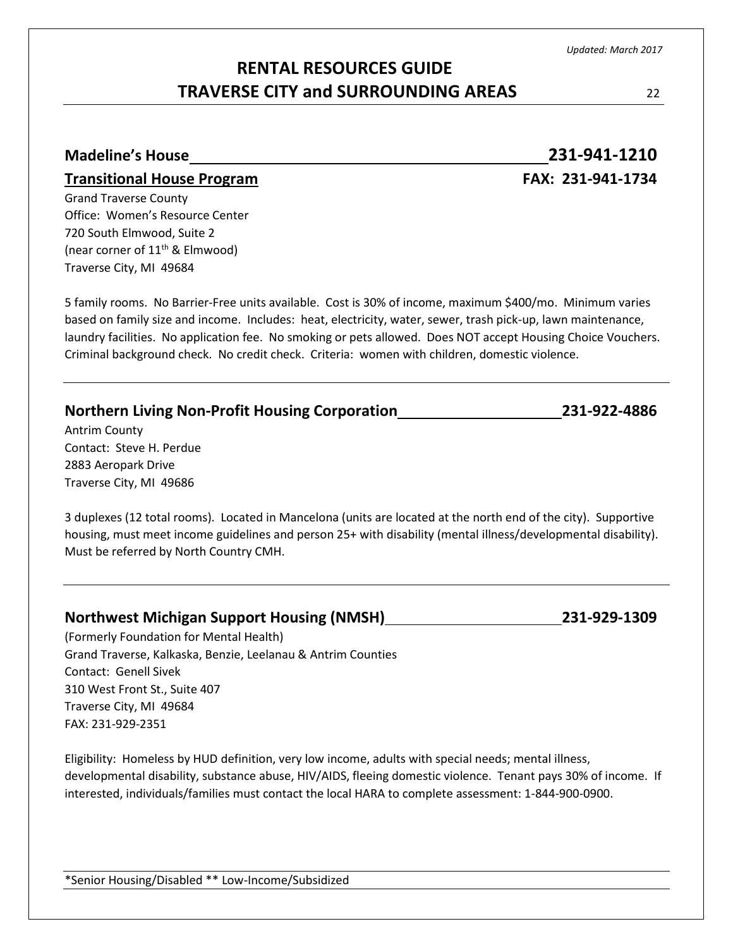# **Madeline's House 231-941-1210 Transitional House Program FAX: 231-941-1734** Grand Traverse County Office: Women's Resource Center 720 South Elmwood, Suite 2 (near corner of  $11<sup>th</sup>$  & Elmwood) Traverse City, MI 49684 5 family rooms. No Barrier-Free units available. Cost is 30% of income, maximum \$400/mo. Minimum varies based on family size and income. Includes: heat, electricity, water, sewer, trash pick-up, lawn maintenance, laundry facilities. No application fee. No smoking or pets allowed. Does NOT accept Housing Choice Vouchers. Criminal background check. No credit check. Criteria: women with children, domestic violence. **Northern Living Non-Profit Housing Corporation 231-922-4886** Antrim County Contact: Steve H. Perdue 2883 Aeropark Drive Traverse City, MI 49686 3 duplexes (12 total rooms). Located in Mancelona (units are located at the north end of the city). Supportive housing, must meet income guidelines and person 25+ with disability (mental illness/developmental disability). Must be referred by North Country CMH. **Northwest Michigan Support Housing (NMSH) 231-929-1309** (Formerly Foundation for Mental Health) Grand Traverse, Kalkaska, Benzie, Leelanau & Antrim Counties Contact: Genell Sivek 310 West Front St., Suite 407 Traverse City, MI 49684 FAX: 231-929-2351 Eligibility: Homeless by HUD definition, very low income, adults with special needs; mental illness, developmental disability, substance abuse, HIV/AIDS, fleeing domestic violence. Tenant pays 30% of income. If interested, individuals/families must contact the local HARA to complete assessment: 1-844-900-0900.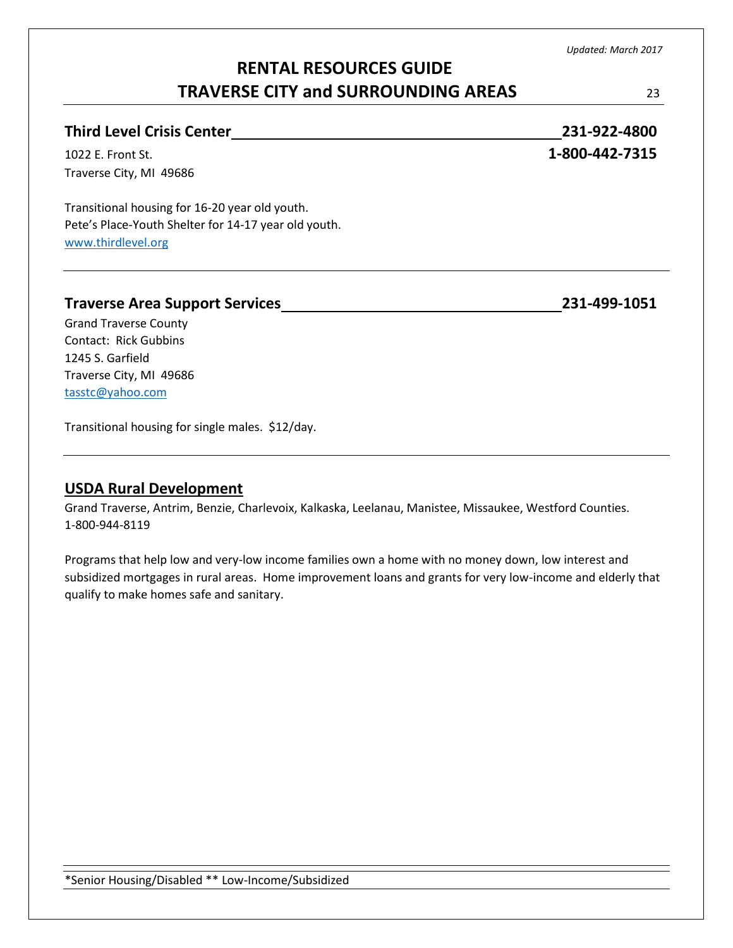# **RENTAL RESOURCES GUIDE TRAVERSE CITY and SURROUNDING AREAS** 23

| <b>Third Level Crisis Center</b>                     | 231-922-4800   |
|------------------------------------------------------|----------------|
| 1022 E. Front St.                                    | 1-800-442-7315 |
| Traverse City, MI 49686                              |                |
| Transitional housing for 16-20 year old youth.       |                |
| Pete's Place-Youth Shelter for 14-17 year old youth. |                |
|                                                      |                |

[www.thirdlevel.org](http://www.thirdlevel.org/)

### **Traverse Area Support Services 231-499-1051**

Grand Traverse County Contact: Rick Gubbins 1245 S. Garfield Traverse City, MI 49686 [tasstc@yahoo.com](mailto:tasstc@yahoo.com)

Transitional housing for single males. \$12/day.

# **USDA Rural Development**

Grand Traverse, Antrim, Benzie, Charlevoix, Kalkaska, Leelanau, Manistee, Missaukee, Westford Counties. 1-800-944-8119

Programs that help low and very-low income families own a home with no money down, low interest and subsidized mortgages in rural areas. Home improvement loans and grants for very low-income and elderly that qualify to make homes safe and sanitary.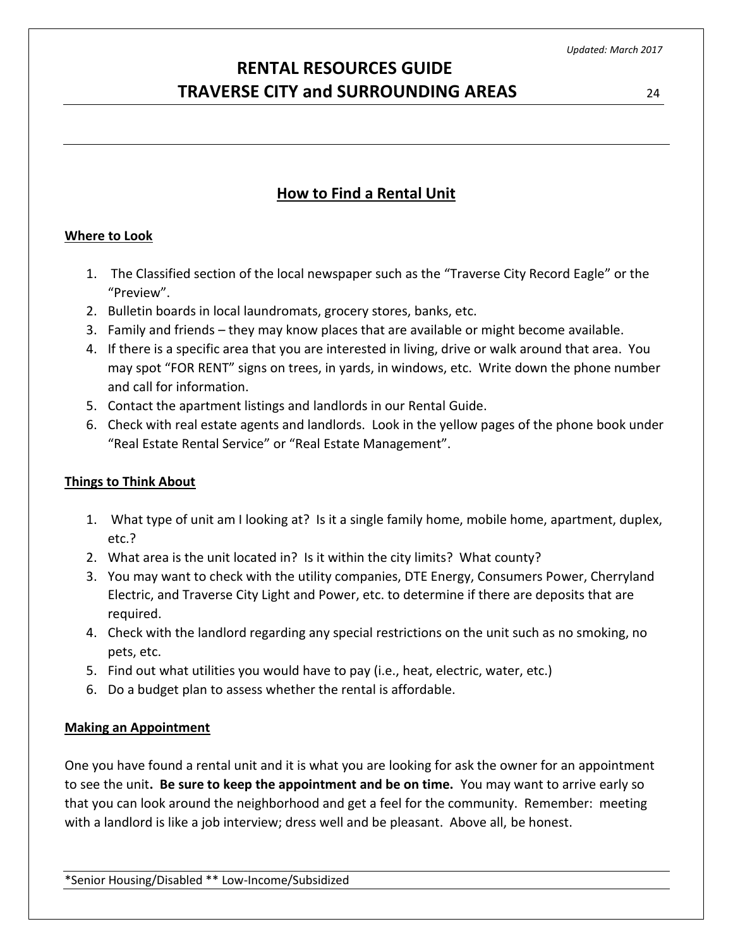# **How to Find a Rental Unit**

### **Where to Look**

- 1. The Classified section of the local newspaper such as the "Traverse City Record Eagle" or the "Preview".
- 2. Bulletin boards in local laundromats, grocery stores, banks, etc.
- 3. Family and friends they may know places that are available or might become available.
- 4. If there is a specific area that you are interested in living, drive or walk around that area. You may spot "FOR RENT" signs on trees, in yards, in windows, etc. Write down the phone number and call for information.
- 5. Contact the apartment listings and landlords in our Rental Guide.
- 6. Check with real estate agents and landlords. Look in the yellow pages of the phone book under "Real Estate Rental Service" or "Real Estate Management".

### **Things to Think About**

- 1. What type of unit am I looking at? Is it a single family home, mobile home, apartment, duplex, etc.?
- 2. What area is the unit located in? Is it within the city limits? What county?
- 3. You may want to check with the utility companies, DTE Energy, Consumers Power, Cherryland Electric, and Traverse City Light and Power, etc. to determine if there are deposits that are required.
- 4. Check with the landlord regarding any special restrictions on the unit such as no smoking, no pets, etc.
- 5. Find out what utilities you would have to pay (i.e., heat, electric, water, etc.)
- 6. Do a budget plan to assess whether the rental is affordable.

### **Making an Appointment**

One you have found a rental unit and it is what you are looking for ask the owner for an appointment to see the unit**. Be sure to keep the appointment and be on time.** You may want to arrive early so that you can look around the neighborhood and get a feel for the community. Remember: meeting with a landlord is like a job interview; dress well and be pleasant. Above all, be honest.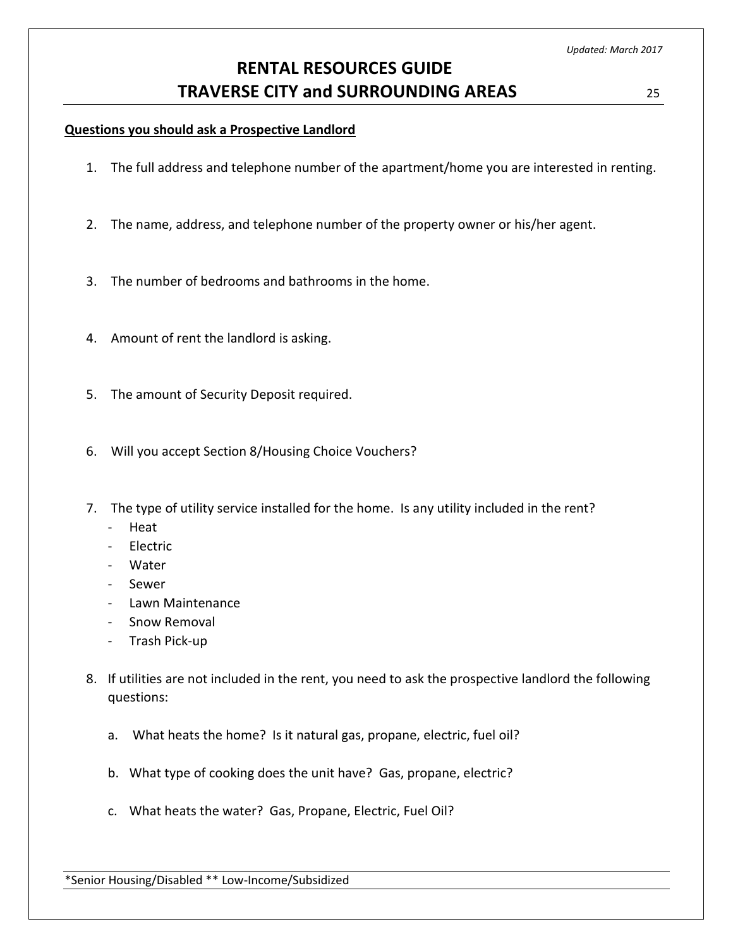### **Questions you should ask a Prospective Landlord**

- 1. The full address and telephone number of the apartment/home you are interested in renting.
- 2. The name, address, and telephone number of the property owner or his/her agent.
- 3. The number of bedrooms and bathrooms in the home.
- 4. Amount of rent the landlord is asking.
- 5. The amount of Security Deposit required.
- 6. Will you accept Section 8/Housing Choice Vouchers?
- 7. The type of utility service installed for the home. Is any utility included in the rent?
	- Heat
	- **Electric**
	- Water
	- Sewer
	- Lawn Maintenance
	- Snow Removal
	- Trash Pick-up
- 8. If utilities are not included in the rent, you need to ask the prospective landlord the following questions:
	- a. What heats the home? Is it natural gas, propane, electric, fuel oil?
	- b. What type of cooking does the unit have? Gas, propane, electric?
	- c. What heats the water? Gas, Propane, Electric, Fuel Oil?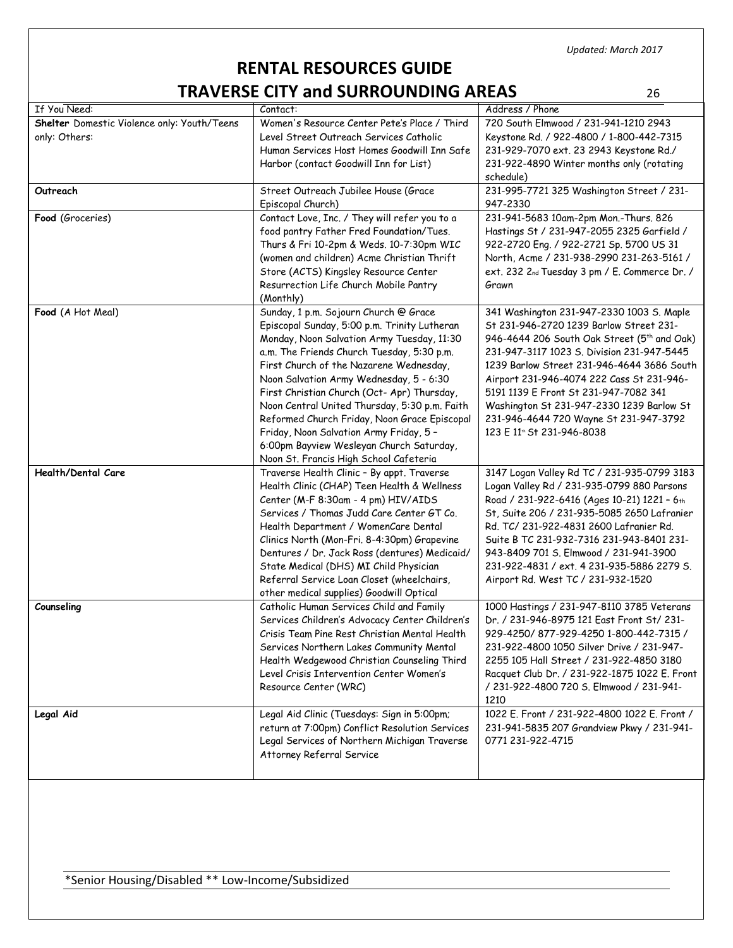# **RENTAL RESOURCES GUIDE TRAVERSE CITY and SURROUNDING AREAS** 26

| If You Need:                                                 | Contact:                                                                                                                                                                                                                                                                                                                                                                                                                                                                                                                                                 | Address / Phone                                                                                                                                                                                                                                                                                                                                                                                                                                                    |
|--------------------------------------------------------------|----------------------------------------------------------------------------------------------------------------------------------------------------------------------------------------------------------------------------------------------------------------------------------------------------------------------------------------------------------------------------------------------------------------------------------------------------------------------------------------------------------------------------------------------------------|--------------------------------------------------------------------------------------------------------------------------------------------------------------------------------------------------------------------------------------------------------------------------------------------------------------------------------------------------------------------------------------------------------------------------------------------------------------------|
| Shelter Domestic Violence only: Youth/Teens<br>only: Others: | Women's Resource Center Pete's Place / Third<br>Level Street Outreach Services Catholic<br>Human Services Host Homes Goodwill Inn Safe<br>Harbor (contact Goodwill Inn for List)                                                                                                                                                                                                                                                                                                                                                                         | 720 South Elmwood / 231-941-1210 2943<br>Keystone Rd. / 922-4800 / 1-800-442-7315<br>231-929-7070 ext. 23 2943 Keystone Rd./<br>231-922-4890 Winter months only (rotating<br>schedule)                                                                                                                                                                                                                                                                             |
| Outreach                                                     | Street Outreach Jubilee House (Grace<br>Episcopal Church)                                                                                                                                                                                                                                                                                                                                                                                                                                                                                                | 231-995-7721 325 Washington Street / 231-<br>947-2330                                                                                                                                                                                                                                                                                                                                                                                                              |
| Food (Groceries)                                             | Contact Love, Inc. / They will refer you to a<br>food pantry Father Fred Foundation/Tues.<br>Thurs & Fri 10-2pm & Weds. 10-7:30pm WIC<br>(women and children) Acme Christian Thrift<br>Store (ACTS) Kingsley Resource Center<br>Resurrection Life Church Mobile Pantry<br>(Monthly)                                                                                                                                                                                                                                                                      | 231-941-5683 10am-2pm Mon.-Thurs. 826<br>Hastings St / 231-947-2055 2325 Garfield /<br>922-2720 Eng. / 922-2721 Sp. 5700 US 31<br>North, Acme / 231-938-2990 231-263-5161 /<br>ext. 232 2nd Tuesday 3 pm / E. Commerce Dr. /<br>Grawn                                                                                                                                                                                                                              |
| Food (A Hot Meal)                                            | Sunday, 1 p.m. Sojourn Church @ Grace<br>Episcopal Sunday, 5:00 p.m. Trinity Lutheran<br>Monday, Noon Salvation Army Tuesday, 11:30<br>a.m. The Friends Church Tuesday, 5:30 p.m.<br>First Church of the Nazarene Wednesday,<br>Noon Salvation Army Wednesday, 5 - 6:30<br>First Christian Church (Oct- Apr) Thursday,<br>Noon Central United Thursday, 5:30 p.m. Faith<br>Reformed Church Friday, Noon Grace Episcopal<br>Friday, Noon Salvation Army Friday, 5 -<br>6:00pm Bayview Wesleyan Church Saturday,<br>Noon St. Francis High School Cafeteria | 341 Washington 231-947-2330 1003 S. Maple<br>St 231-946-2720 1239 Barlow Street 231-<br>946-4644 206 South Oak Street (5 <sup>th</sup> and Oak)<br>231-947-3117 1023 S. Division 231-947-5445<br>1239 Barlow Street 231-946-4644 3686 South<br>Airport 231-946-4074 222 Cass St 231-946-<br>5191 1139 E Front St 231-947-7082 341<br>Washington St 231-947-2330 1239 Barlow St<br>231-946-4644 720 Wayne St 231-947-3792<br>123 E 11 <sup>th</sup> St 231-946-8038 |
| Health/Dental Care                                           | Traverse Health Clinic - By appt. Traverse<br>Health Clinic (CHAP) Teen Health & Wellness<br>Center (M-F 8:30am - 4 pm) HIV/AIDS<br>Services / Thomas Judd Care Center GT Co.<br>Health Department / WomenCare Dental<br>Clinics North (Mon-Fri. 8-4:30pm) Grapevine<br>Dentures / Dr. Jack Ross (dentures) Medicaid/<br>State Medical (DHS) MI Child Physician<br>Referral Service Loan Closet (wheelchairs,<br>other medical supplies) Goodwill Optical                                                                                                | 3147 Logan Valley Rd TC / 231-935-0799 3183<br>Logan Valley Rd / 231-935-0799 880 Parsons<br>Road / 231-922-6416 (Ages 10-21) 1221 - 6th<br>St, Suite 206 / 231-935-5085 2650 Lafranier<br>Rd. TC/ 231-922-4831 2600 Lafranier Rd.<br>Suite B TC 231-932-7316 231-943-8401 231-<br>943-8409 701 S. Elmwood / 231-941-3900<br>231-922-4831 / ext. 4 231-935-5886 2279 S.<br>Airport Rd. West TC / 231-932-1520                                                      |
| Counseling                                                   | Catholic Human Services Child and Family<br>Services Children's Advocacy Center Children's<br>Crisis Team Pine Rest Christian Mental Health<br>Services Northern Lakes Community Mental<br>Health Wedgewood Christian Counseling Third<br>Level Crisis Intervention Center Women's<br>Resource Center (WRC)                                                                                                                                                                                                                                              | 1000 Hastings / 231-947-8110 3785 Veterans<br>Dr. / 231-946-8975 121 East Front St/ 231-<br>929-4250/877-929-4250 1-800-442-7315 /<br>231-922-4800 1050 Silver Drive / 231-947-<br>2255 105 Hall Street / 231-922-4850 3180<br>Racquet Club Dr. / 231-922-1875 1022 E. Front<br>/ 231-922-4800 720 S. Elmwood / 231-941-<br>1210                                                                                                                                   |
| Legal Aid                                                    | Legal Aid Clinic (Tuesdays: Sign in 5:00pm;<br>return at 7:00pm) Conflict Resolution Services<br>Legal Services of Northern Michigan Traverse<br>Attorney Referral Service                                                                                                                                                                                                                                                                                                                                                                               | 1022 E. Front / 231-922-4800 1022 E. Front /<br>231-941-5835 207 Grandview Pkwy / 231-941-<br>0771 231-922-4715                                                                                                                                                                                                                                                                                                                                                    |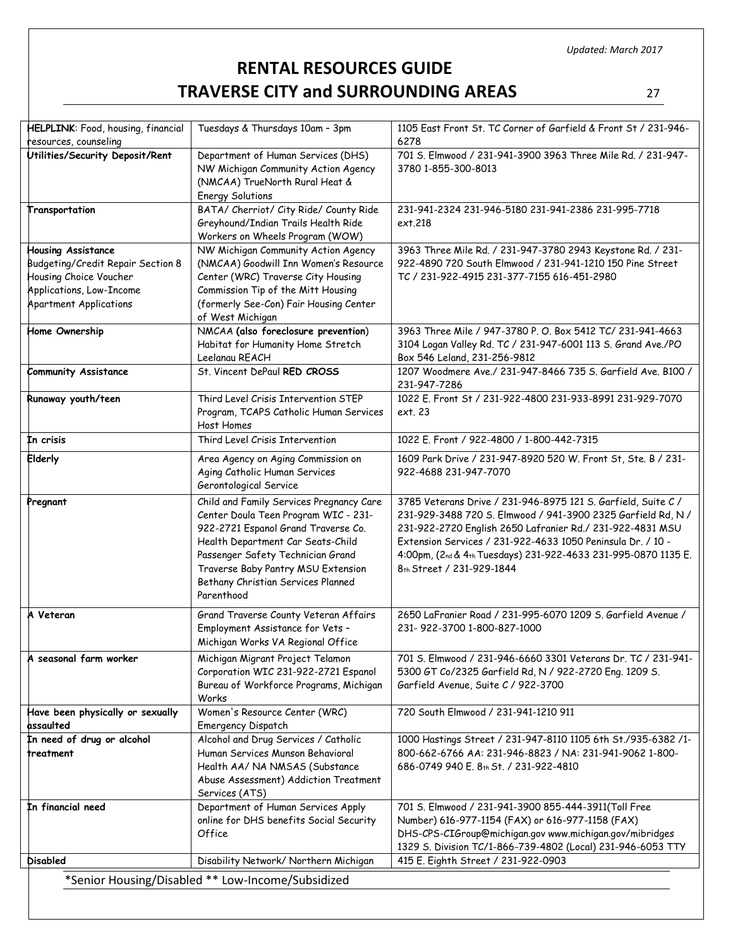# **RENTAL RESOURCES GUIDE TRAVERSE CITY and SURROUNDING AREAS** 27

| HELPLINK: Food, housing, financial                 | Tuesdays & Thursdays 10am - 3pm                                                | 1105 East Front St. TC Corner of Garfield & Front St / 231-946-                                                          |
|----------------------------------------------------|--------------------------------------------------------------------------------|--------------------------------------------------------------------------------------------------------------------------|
| resources, counseling                              |                                                                                | 6278                                                                                                                     |
| Utilities/Security Deposit/Rent                    | Department of Human Services (DHS)<br>NW Michigan Community Action Agency      | 701 S. Elmwood / 231-941-3900 3963 Three Mile Rd. / 231-947-<br>3780 1-855-300-8013                                      |
|                                                    | (NMCAA) TrueNorth Rural Heat &                                                 |                                                                                                                          |
|                                                    | <b>Energy Solutions</b>                                                        |                                                                                                                          |
| Transportation                                     | BATA/ Cherriot/ City Ride/ County Ride                                         | 231-941-2324 231-946-5180 231-941-2386 231-995-7718                                                                      |
|                                                    | Greyhound/Indian Trails Health Ride                                            | ext.218                                                                                                                  |
|                                                    | Workers on Wheels Program (WOW)                                                |                                                                                                                          |
| <b>Housing Assistance</b>                          | NW Michigan Community Action Agency                                            | 3963 Three Mile Rd. / 231-947-3780 2943 Keystone Rd. / 231-                                                              |
| Budgeting/Credit Repair Section 8                  | (NMCAA) Goodwill Inn Women's Resource                                          | 922-4890 720 South Elmwood / 231-941-1210 150 Pine Street                                                                |
| Housing Choice Voucher<br>Applications, Low-Income | Center (WRC) Traverse City Housing<br>Commission Tip of the Mitt Housing       | TC / 231-922-4915 231-377-7155 616-451-2980                                                                              |
| <b>Apartment Applications</b>                      | (formerly See-Con) Fair Housing Center                                         |                                                                                                                          |
|                                                    | of West Michigan                                                               |                                                                                                                          |
| Home Ownership                                     | NMCAA (also foreclosure prevention)                                            | 3963 Three Mile / 947-3780 P.O. Box 5412 TC/ 231-941-4663                                                                |
|                                                    | Habitat for Humanity Home Stretch                                              | 3104 Logan Valley Rd. TC / 231-947-6001 113 S. Grand Ave./PO                                                             |
|                                                    | Leelanau REACH                                                                 | Box 546 Leland, 231-256-9812                                                                                             |
| Community Assistance                               | St. Vincent DePaul RED CROSS                                                   | 1207 Woodmere Ave./ 231-947-8466 735 S. Garfield Ave. B100 /                                                             |
|                                                    |                                                                                | 231-947-7286                                                                                                             |
| Runaway youth/teen                                 | Third Level Crisis Intervention STEP<br>Program, TCAPS Catholic Human Services | 1022 E. Front St / 231-922-4800 231-933-8991 231-929-7070<br>ext. 23                                                     |
|                                                    | Host Homes                                                                     |                                                                                                                          |
| In crisis                                          | Third Level Crisis Intervention                                                | 1022 E. Front / 922-4800 / 1-800-442-7315                                                                                |
| Elderly                                            | Area Agency on Aging Commission on                                             | 1609 Park Drive / 231-947-8920 520 W. Front St, Ste. B / 231-                                                            |
|                                                    | Aging Catholic Human Services                                                  | 922-4688 231-947-7070                                                                                                    |
|                                                    | Gerontological Service                                                         |                                                                                                                          |
| Pregnant                                           | Child and Family Services Pregnancy Care                                       | 3785 Veterans Drive / 231-946-8975 121 S. Garfield, Suite C /                                                            |
|                                                    | Center Doula Teen Program WIC - 231-                                           | 231-929-3488 720 S. Elmwood / 941-3900 2325 Garfield Rd, N /                                                             |
|                                                    | 922-2721 Espanol Grand Traverse Co.                                            | 231-922-2720 English 2650 Lafranier Rd./ 231-922-4831 MSU                                                                |
|                                                    | Health Department Car Seats-Child                                              | Extension Services / 231-922-4633 1050 Peninsula Dr. / 10 -                                                              |
|                                                    | Passenger Safety Technician Grand                                              | 4:00pm, (2nd & 4th Tuesdays) 231-922-4633 231-995-0870 1135 E.                                                           |
|                                                    | Traverse Baby Pantry MSU Extension<br>Bethany Christian Services Planned       | 8th Street / 231-929-1844                                                                                                |
|                                                    | Parenthood                                                                     |                                                                                                                          |
|                                                    |                                                                                |                                                                                                                          |
| A Veteran                                          | Grand Traverse County Veteran Affairs<br>Employment Assistance for Vets -      | 2650 LaFranier Road / 231-995-6070 1209 S. Garfield Avenue /<br>231-922-3700 1-800-827-1000                              |
|                                                    | Michigan Works VA Regional Office                                              |                                                                                                                          |
| A seasonal farm worker                             | Michigan Migrant Project Telamon                                               | 701 S. Elmwood / 231-946-6660 3301 Veterans Dr. TC / 231-941-                                                            |
|                                                    | Corporation WIC 231-922-2721 Espanol                                           | 5300 GT Co/2325 Garfield Rd, N / 922-2720 Eng. 1209 S.                                                                   |
|                                                    | Bureau of Workforce Programs, Michigan                                         | Garfield Avenue, Suite C / 922-3700                                                                                      |
|                                                    | Works                                                                          |                                                                                                                          |
| Have been physically or sexually                   | Women's Resource Center (WRC)                                                  | 720 South Elmwood / 231-941-1210 911                                                                                     |
| assaulted                                          | Emergency Dispatch                                                             |                                                                                                                          |
| In need of drug or alcohol<br>treatment            | Alcohol and Drug Services / Catholic<br>Human Services Munson Behavioral       | 1000 Hastings Street / 231-947-8110 1105 6th St./935-6382 /1-<br>800-662-6766 AA: 231-946-8823 / NA: 231-941-9062 1-800- |
|                                                    | Health AA/ NA NMSAS (Substance                                                 | 686-0749 940 E. 8th St. / 231-922-4810                                                                                   |
|                                                    | Abuse Assessment) Addiction Treatment                                          |                                                                                                                          |
|                                                    | Services (ATS)                                                                 |                                                                                                                          |
| In financial need                                  | Department of Human Services Apply                                             | 701 S. Elmwood / 231-941-3900 855-444-3911(Toll Free                                                                     |
|                                                    | online for DHS benefits Social Security                                        | Number) 616-977-1154 (FAX) or 616-977-1158 (FAX)                                                                         |
|                                                    | Office                                                                         | DHS-CPS-CIGroup@michigan.gov www.michigan.gov/mibridges                                                                  |
|                                                    |                                                                                | 1329 S. Division TC/1-866-739-4802 (Local) 231-946-6053 TTY                                                              |
| <b>Disabled</b>                                    | Disability Network/ Northern Michigan                                          | 415 E. Eighth Street / 231-922-0903                                                                                      |
|                                                    | *Senior Housing/Disabled ** Low-Income/Subsidized                              |                                                                                                                          |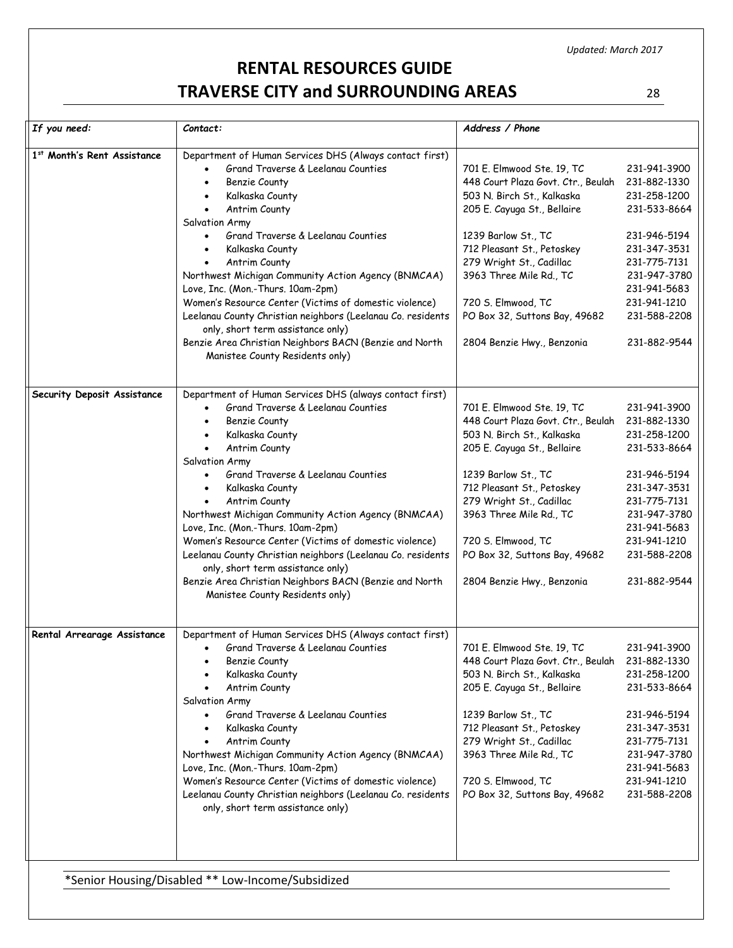# **RENTAL RESOURCES GUIDE TRAVERSE CITY and SURROUNDING AREAS** 28

| If you need:                | $\mathcal{C}$ ontact:                                                                                                                                                                                                                                                                                                                                                                                                                                                                                                                                                                                                                        | Address / Phone                                                                                                                                                                                                                                                                                                                |                                                                                                                                                                                              |
|-----------------------------|----------------------------------------------------------------------------------------------------------------------------------------------------------------------------------------------------------------------------------------------------------------------------------------------------------------------------------------------------------------------------------------------------------------------------------------------------------------------------------------------------------------------------------------------------------------------------------------------------------------------------------------------|--------------------------------------------------------------------------------------------------------------------------------------------------------------------------------------------------------------------------------------------------------------------------------------------------------------------------------|----------------------------------------------------------------------------------------------------------------------------------------------------------------------------------------------|
| 1st Month's Rent Assistance | Department of Human Services DHS (Always contact first)<br>Grand Traverse & Leelanau Counties<br>Benzie County<br>Kalkaska County<br>Antrim County<br>$\bullet$<br>Salvation Army<br>Grand Traverse & Leelanau Counties<br>Kalkaska County<br>Antrim County<br>Northwest Michigan Community Action Agency (BNMCAA)<br>Love, Inc. (Mon.-Thurs. 10am-2pm)<br>Women's Resource Center (Victims of domestic violence)<br>Leelanau County Christian neighbors (Leelanau Co. residents<br>only, short term assistance only)<br>Benzie Area Christian Neighbors BACN (Benzie and North<br>Manistee County Residents only)                           | 701 E. Elmwood Ste. 19, TC<br>448 Court Plaza Govt. Ctr., Beulah<br>503 N. Birch St., Kalkaska<br>205 E. Cayuga St., Bellaire<br>1239 Barlow St., TC<br>712 Pleasant St., Petoskey<br>279 Wright St., Cadillac<br>3963 Three Mile Rd., TC<br>720 S. Elmwood, TC<br>PO Box 32, Suttons Bay, 49682<br>2804 Benzie Hwy., Benzonia | 231-941-3900<br>231-882-1330<br>231-258-1200<br>231-533-8664<br>231-946-5194<br>231-347-3531<br>231-775-7131<br>231-947-3780<br>231-941-5683<br>231-941-1210<br>231-588-2208<br>231-882-9544 |
| Security Deposit Assistance | Department of Human Services DHS (always contact first)<br>Grand Traverse & Leelangu Counties<br>Benzie County<br>Kalkaska County<br>Antrim County<br>$\bullet$<br>Salvation Army<br>Grand Traverse & Leelanau Counties<br>$\bullet$<br>Kalkaska County<br>$\bullet$<br>Antrim County<br>Northwest Michigan Community Action Agency (BNMCAA)<br>Love, Inc. (Mon.-Thurs. 10am-2pm)<br>Women's Resource Center (Victims of domestic violence)<br>Leelanau County Christian neighbors (Leelanau Co. residents<br>only, short term assistance only)<br>Benzie Area Christian Neighbors BACN (Benzie and North<br>Manistee County Residents only) | 701 E. Elmwood Ste. 19, TC<br>448 Court Plaza Govt. Ctr., Beulah<br>503 N. Birch St., Kalkaska<br>205 E. Cayuga St., Bellaire<br>1239 Barlow St., TC<br>712 Pleasant St., Petoskey<br>279 Wright St., Cadillac<br>3963 Three Mile Rd., TC<br>720 S. Elmwood, TC<br>PO Box 32, Suttons Bay, 49682<br>2804 Benzie Hwy., Benzonia | 231-941-3900<br>231-882-1330<br>231-258-1200<br>231-533-8664<br>231-946-5194<br>231-347-3531<br>231-775-7131<br>231-947-3780<br>231-941-5683<br>231-941-1210<br>231-588-2208<br>231-882-9544 |
| Rental Arrearage Assistance | Department of Human Services DHS (Always contact first)<br>Grand Traverse & Leelangu Counties<br>$\bullet$<br>Benzie County<br>Kalkaska County<br>Antrim County<br>Salvation Army<br>Grand Traverse & Leelanau Counties<br>Kalkaska County<br>Antrim County<br>$\bullet$<br>Northwest Michigan Community Action Agency (BNMCAA)<br>Love, Inc. (Mon.-Thurs. 10am-2pm)<br>Women's Resource Center (Victims of domestic violence)<br>Leelanau County Christian neighbors (Leelanau Co. residents<br>only, short term assistance only)                                                                                                           | 701 E. Elmwood Ste. 19, TC<br>448 Court Plaza Govt. Ctr., Beulah<br>503 N. Birch St., Kalkaska<br>205 E. Cayuga St., Bellaire<br>1239 Barlow St., TC<br>712 Pleasant St., Petoskey<br>279 Wright St., Cadillac<br>3963 Three Mile Rd., TC<br>720 S. Elmwood, TC<br>PO Box 32, Suttons Bay, 49682                               | 231-941-3900<br>231-882-1330<br>231-258-1200<br>231-533-8664<br>231-946-5194<br>231-347-3531<br>231-775-7131<br>231-947-3780<br>231-941-5683<br>231-941-1210<br>231-588-2208                 |